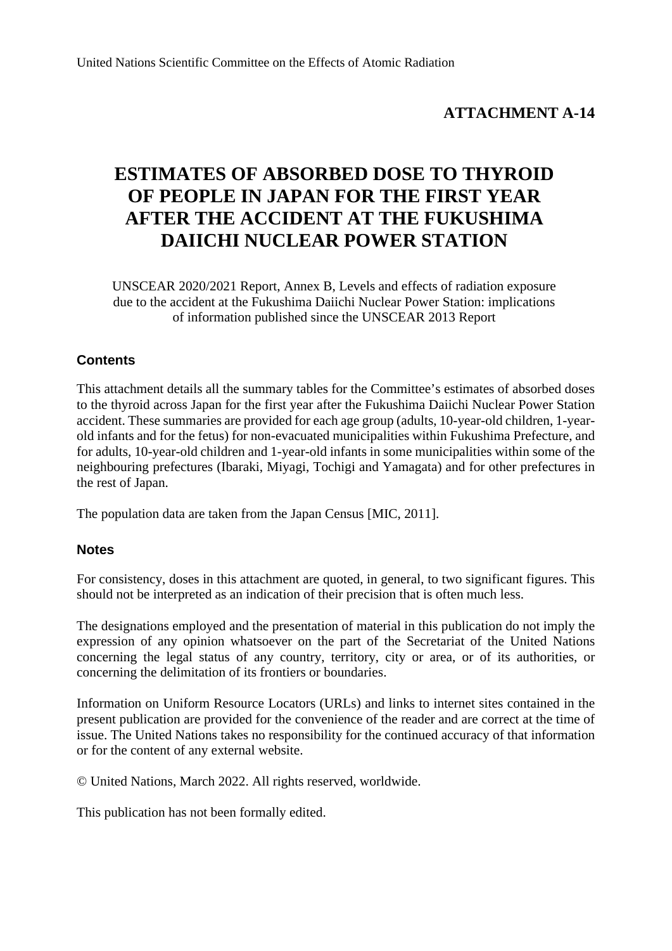# **ATTACHMENT A-14**

# **ESTIMATES OF ABSORBED DOSE TO THYROID OF PEOPLE IN JAPAN FOR THE FIRST YEAR AFTER THE ACCIDENT AT THE FUKUSHIMA DAIICHI NUCLEAR POWER STATION**

UNSCEAR 2020/2021 Report, Annex B, Levels and effects of radiation exposure due to the accident at the Fukushima Daiichi Nuclear Power Station: implications of information published since the UNSCEAR 2013 Report

## **Contents**

This attachment details all the summary tables for the Committee's estimates of absorbed doses to the thyroid across Japan for the first year after the Fukushima Daiichi Nuclear Power Station accident. These summaries are provided for each age group (adults, 10-year-old children, 1-yearold infants and for the fetus) for non-evacuated municipalities within Fukushima Prefecture, and for adults, 10-year-old children and 1-year-old infants in some municipalities within some of the neighbouring prefectures (Ibaraki, Miyagi, Tochigi and Yamagata) and for other prefectures in the rest of Japan.

The population data are taken from the Japan Census [MIC, 2011].

## **Notes**

For consistency, doses in this attachment are quoted, in general, to two significant figures. This should not be interpreted as an indication of their precision that is often much less.

The designations employed and the presentation of material in this publication do not imply the expression of any opinion whatsoever on the part of the Secretariat of the United Nations concerning the legal status of any country, territory, city or area, or of its authorities, or concerning the delimitation of its frontiers or boundaries.

Information on Uniform Resource Locators (URLs) and links to internet sites contained in the present publication are provided for the convenience of the reader and are correct at the time of issue. The United Nations takes no responsibility for the continued accuracy of that information or for the content of any external website.

© United Nations, March 2022. All rights reserved, worldwide.

This publication has not been formally edited.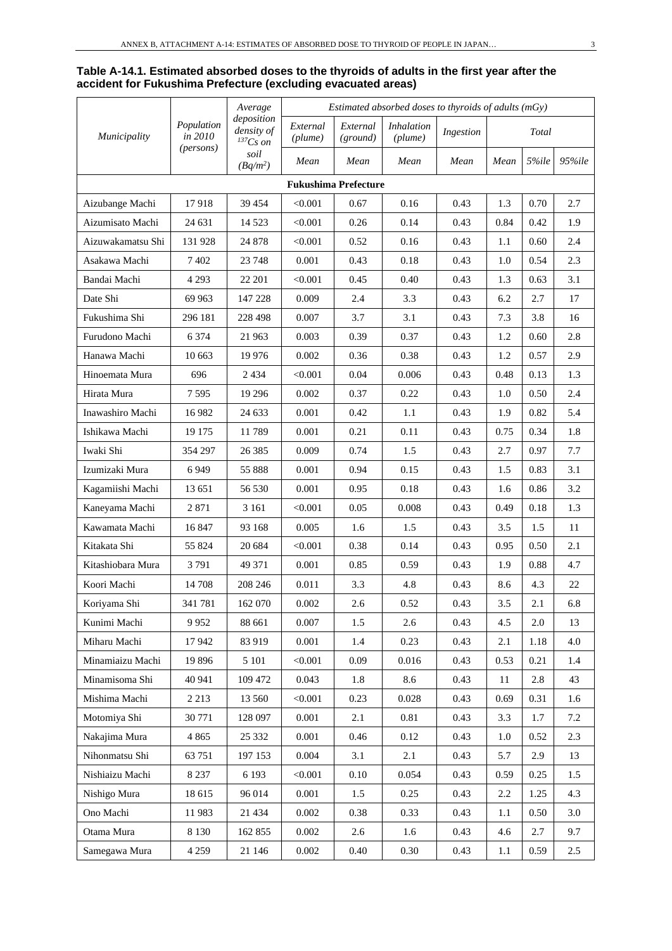#### **Table A-14.1. Estimated absorbed doses to the thyroids of adults in the first year after the accident for Fukushima Prefecture (excluding evacuated areas)**

|                   |                       | Average                                   |                     |                             | Estimated absorbed doses to thyroids of adults (mGy) |           |      |           |        |
|-------------------|-----------------------|-------------------------------------------|---------------------|-----------------------------|------------------------------------------------------|-----------|------|-----------|--------|
| Municipality      | Population<br>in 2010 | deposition<br>density of<br>$^{137}Cs$ on | External<br>(plume) | External<br>(ground)        | <i>Inhalation</i><br>(plume)                         | Ingestion |      | Total     |        |
|                   | (persons)             | soil<br>$(Bq/m^2)$                        | Mean                | Mean                        | Mean                                                 | Mean      | Mean | $5\%$ ile | 95%ile |
|                   |                       |                                           |                     | <b>Fukushima Prefecture</b> |                                                      |           |      |           |        |
| Aizubange Machi   | 17918                 | 39 454                                    | < 0.001             | 0.67                        | 0.16                                                 | 0.43      | 1.3  | 0.70      | 2.7    |
| Aizumisato Machi  | 24 631                | 14 5 23                                   | < 0.001             | 0.26                        | 0.14                                                 | 0.43      | 0.84 | 0.42      | 1.9    |
| Aizuwakamatsu Shi | 131 928               | 24 878                                    | < 0.001             | 0.52                        | 0.16                                                 | 0.43      | 1.1  | 0.60      | 2.4    |
| Asakawa Machi     | 7 4 0 2               | 23 748                                    | 0.001               | 0.43                        | 0.18                                                 | 0.43      | 1.0  | 0.54      | 2.3    |
| Bandai Machi      | 4 2 9 3               | 22 201                                    | < 0.001             | 0.45                        | 0.40                                                 | 0.43      | 1.3  | 0.63      | 3.1    |
| Date Shi          | 69 963                | 147 228                                   | 0.009               | 2.4                         | 3.3                                                  | 0.43      | 6.2  | 2.7       | 17     |
| Fukushima Shi     | 296 181               | 228 498                                   | 0.007               | 3.7                         | 3.1                                                  | 0.43      | 7.3  | 3.8       | 16     |
| Furudono Machi    | 6 3 7 4               | 21 963                                    | 0.003               | 0.39                        | 0.37                                                 | 0.43      | 1.2  | 0.60      | 2.8    |
| Hanawa Machi      | 10 663                | 19 9 76                                   | 0.002               | 0.36                        | 0.38                                                 | 0.43      | 1.2  | 0.57      | 2.9    |
| Hinoemata Mura    | 696                   | 2 4 3 4                                   | < 0.001             | 0.04                        | 0.006                                                | 0.43      | 0.48 | 0.13      | 1.3    |
| Hirata Mura       | 7595                  | 19 29 6                                   | 0.002               | 0.37                        | 0.22                                                 | 0.43      | 1.0  | 0.50      | 2.4    |
| Inawashiro Machi  | 16 982                | 24 633                                    | 0.001               | 0.42                        | 1.1                                                  | 0.43      | 1.9  | 0.82      | 5.4    |
| Ishikawa Machi    | 19 175                | 11789                                     | 0.001               | 0.21                        | 0.11                                                 | 0.43      | 0.75 | 0.34      | 1.8    |
| Iwaki Shi         | 354 297               | 26 3 8 5                                  | 0.009               | 0.74                        | 1.5                                                  | 0.43      | 2.7  | 0.97      | 7.7    |
| Izumizaki Mura    | 6949                  | 55 888                                    | 0.001               | 0.94                        | 0.15                                                 | 0.43      | 1.5  | 0.83      | 3.1    |
| Kagamiishi Machi  | 13 651                | 56 530                                    | 0.001               | 0.95                        | 0.18                                                 | 0.43      | 1.6  | 0.86      | 3.2    |
| Kaneyama Machi    | 2871                  | 3 1 6 1                                   | < 0.001             | 0.05                        | 0.008                                                | 0.43      | 0.49 | 0.18      | 1.3    |
| Kawamata Machi    | 16 847                | 93 168                                    | 0.005               | 1.6                         | 1.5                                                  | 0.43      | 3.5  | 1.5       | 11     |
| Kitakata Shi      | 55 824                | 20 684                                    | < 0.001             | 0.38                        | 0.14                                                 | 0.43      | 0.95 | 0.50      | 2.1    |
| Kitashiobara Mura | 3791                  | 49 371                                    | 0.001               | 0.85                        | 0.59                                                 | 0.43      | 1.9  | 0.88      | 4.7    |
| Koori Machi       | 14 708                | 208 246                                   | 0.011               | 3.3                         | 4.8                                                  | 0.43      | 8.6  | 4.3       | 22     |
| Koriyama Shi      | 341 781               | 162 070                                   | 0.002               | 2.6                         | $0.52\,$                                             | 0.43      | 3.5  | 2.1       | 6.8    |
| Kunimi Machi      | 9952                  | 88 661                                    | 0.007               | 1.5                         | 2.6                                                  | 0.43      | 4.5  | 2.0       | 13     |
| Miharu Machi      | 17942                 | 83 919                                    | 0.001               | 1.4                         | 0.23                                                 | 0.43      | 2.1  | 1.18      | 4.0    |
| Minamiaizu Machi  | 19 896                | 5 1 0 1                                   | < 0.001             | 0.09                        | 0.016                                                | 0.43      | 0.53 | 0.21      | 1.4    |
| Minamisoma Shi    | 40 941                | 109 472                                   | 0.043               | 1.8                         | 8.6                                                  | 0.43      | 11   | 2.8       | 43     |
| Mishima Machi     | 2 2 1 3               | 13 560                                    | < 0.001             | 0.23                        | 0.028                                                | 0.43      | 0.69 | 0.31      | 1.6    |
| Motomiya Shi      | 30 771                | 128 097                                   | 0.001               | 2.1                         | 0.81                                                 | 0.43      | 3.3  | 1.7       | 7.2    |
| Nakajima Mura     | 4 8 6 5               | 25 332                                    | 0.001               | 0.46                        | 0.12                                                 | 0.43      | 1.0  | 0.52      | 2.3    |
| Nihonmatsu Shi    | 63 751                | 197 153                                   | 0.004               | 3.1                         | 2.1                                                  | 0.43      | 5.7  | 2.9       | 13     |
| Nishiaizu Machi   | 8 2 3 7               | 6 1 9 3                                   | < 0.001             | 0.10                        | 0.054                                                | 0.43      | 0.59 | 0.25      | 1.5    |
| Nishigo Mura      | 18 615                | 96 014                                    | 0.001               | 1.5                         | 0.25                                                 | 0.43      | 2.2  | 1.25      | 4.3    |
| Ono Machi         | 11983                 | 21 434                                    | 0.002               | 0.38                        | 0.33                                                 | 0.43      | 1.1  | 0.50      | 3.0    |
| Otama Mura        | 8 1 3 0               | 162 855                                   | 0.002               | $2.6\,$                     | 1.6                                                  | 0.43      | 4.6  | 2.7       | 9.7    |
| Samegawa Mura     | 4 2 5 9               | 21 146                                    | 0.002               | 0.40                        | 0.30                                                 | 0.43      | 1.1  | 0.59      | 2.5    |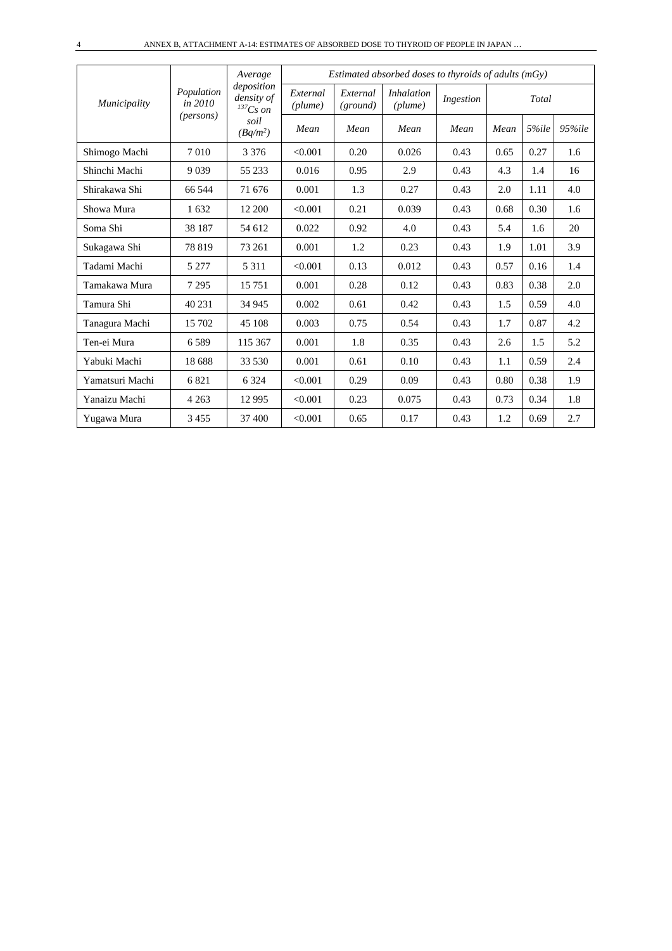|                 |                       | Average<br>deposition       |                     |                      | Estimated absorbed doses to thyroids of adults $(mGy)$ |           |      |       |            |
|-----------------|-----------------------|-----------------------------|---------------------|----------------------|--------------------------------------------------------|-----------|------|-------|------------|
| Municipality    | Population<br>in 2010 | density of<br>$^{137}Cs$ on | External<br>(plume) | External<br>(ground) | <i>Inhalation</i><br>(plume)                           | Ingestion |      | Total |            |
|                 | ( <i>persons</i> )    | soil<br>$(Bq/m^2)$          | Mean                | Mean                 | Mean                                                   | Mean      | Mean | 5%ile | $95\%$ ile |
| Shimogo Machi   | 7010                  | 3 3 7 6                     | < 0.001             | 0.20                 | 0.026                                                  | 0.43      | 0.65 | 0.27  | 1.6        |
| Shinchi Machi   | 9 0 3 9               | 55 233                      | 0.016               | 0.95                 | 2.9                                                    | 0.43      | 4.3  | 1.4   | 16         |
| Shirakawa Shi   | 66 544                | 71 676                      | 0.001               | 1.3                  | 0.27                                                   | 0.43      | 2.0  | 1.11  | 4.0        |
| Showa Mura      | 1632                  | 12 200                      | < 0.001             | 0.21                 | 0.039                                                  | 0.43      | 0.68 | 0.30  | 1.6        |
| Soma Shi        | 38 187                | 54 612                      | 0.022               | 0.92                 | 4.0                                                    | 0.43      | 5.4  | 1.6   | 20         |
| Sukagawa Shi    | 78 819                | 73 261                      | 0.001               | 1.2                  | 0.23                                                   | 0.43      | 1.9  | 1.01  | 3.9        |
| Tadami Machi    | 5 2 7 7               | 5 3 1 1                     | < 0.001             | 0.13                 | 0.012                                                  | 0.43      | 0.57 | 0.16  | 1.4        |
| Tamakawa Mura   | 7 2 9 5               | 15 751                      | 0.001               | 0.28                 | 0.12                                                   | 0.43      | 0.83 | 0.38  | 2.0        |
| Tamura Shi      | 40 231                | 34 945                      | 0.002               | 0.61                 | 0.42                                                   | 0.43      | 1.5  | 0.59  | 4.0        |
| Tanagura Machi  | 15 702                | 45 108                      | 0.003               | 0.75                 | 0.54                                                   | 0.43      | 1.7  | 0.87  | 4.2        |
| Ten-ei Mura     | 6589                  | 115 367                     | 0.001               | 1.8                  | 0.35                                                   | 0.43      | 2.6  | 1.5   | 5.2        |
| Yabuki Machi    | 18 688                | 33 530                      | 0.001               | 0.61                 | 0.10                                                   | 0.43      | 1.1  | 0.59  | 2.4        |
| Yamatsuri Machi | 6821                  | 6 3 2 4                     | < 0.001             | 0.29                 | 0.09                                                   | 0.43      | 0.80 | 0.38  | 1.9        |
| Yanaizu Machi   | 4 2 6 3               | 12 9 95                     | < 0.001             | 0.23                 | 0.075                                                  | 0.43      | 0.73 | 0.34  | 1.8        |
| Yugawa Mura     | 3455                  | 37 400                      | < 0.001             | 0.65                 | 0.17                                                   | 0.43      | 1.2  | 0.69  | 2.7        |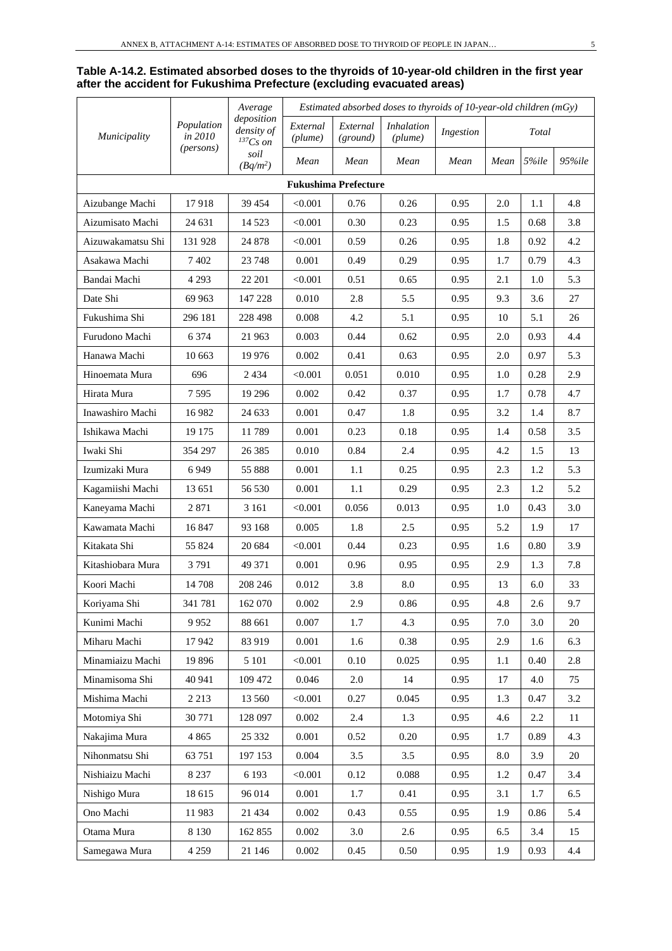|                   |                       | Average                                     |                     |                             | Estimated absorbed doses to thyroids of $10$ -year-old children (mGy) |           |      |       |            |
|-------------------|-----------------------|---------------------------------------------|---------------------|-----------------------------|-----------------------------------------------------------------------|-----------|------|-------|------------|
| Municipality      | Population<br>in 2010 | deposition<br>density of<br>${}^{137}Cs$ on | External<br>(plume) | External<br>(ground)        | <b>Inhalation</b><br>(plume)                                          | Ingestion |      | Total |            |
|                   | (persons)             | soil<br>$(Bq/m^2)$                          | Mean                | Mean                        | Mean                                                                  | Mean      | Mean | 5%ile | $95\%$ ile |
|                   |                       |                                             |                     | <b>Fukushima Prefecture</b> |                                                                       |           |      |       |            |
| Aizubange Machi   | 17918                 | 39 454                                      | < 0.001             | 0.76                        | 0.26                                                                  | 0.95      | 2.0  | 1.1   | 4.8        |
| Aizumisato Machi  | 24 631                | 14 5 23                                     | < 0.001             | 0.30                        | 0.23                                                                  | 0.95      | 1.5  | 0.68  | 3.8        |
| Aizuwakamatsu Shi | 131 928               | 24 878                                      | < 0.001             | 0.59                        | 0.26                                                                  | 0.95      | 1.8  | 0.92  | 4.2        |
| Asakawa Machi     | 7 4 0 2               | 23 748                                      | 0.001               | 0.49                        | 0.29                                                                  | 0.95      | 1.7  | 0.79  | 4.3        |
| Bandai Machi      | 4 2 9 3               | 22 201                                      | < 0.001             | 0.51                        | 0.65                                                                  | 0.95      | 2.1  | 1.0   | 5.3        |
| Date Shi          | 69 963                | 147 228                                     | 0.010               | 2.8                         | 5.5                                                                   | 0.95      | 9.3  | 3.6   | 27         |
| Fukushima Shi     | 296 181               | 228 498                                     | 0.008               | 4.2                         | 5.1                                                                   | 0.95      | 10   | 5.1   | 26         |
| Furudono Machi    | 6 3 7 4               | 21 963                                      | 0.003               | 0.44                        | 0.62                                                                  | 0.95      | 2.0  | 0.93  | 4.4        |
| Hanawa Machi      | 10 663                | 19 976                                      | 0.002               | 0.41                        | 0.63                                                                  | 0.95      | 2.0  | 0.97  | 5.3        |
| Hinoemata Mura    | 696                   | 2 4 3 4                                     | < 0.001             | 0.051                       | 0.010                                                                 | 0.95      | 1.0  | 0.28  | 2.9        |
| Hirata Mura       | 7 5 9 5               | 19 29 6                                     | 0.002               | 0.42                        | 0.37                                                                  | 0.95      | 1.7  | 0.78  | 4.7        |
| Inawashiro Machi  | 16982                 | 24 633                                      | 0.001               | 0.47                        | 1.8                                                                   | 0.95      | 3.2  | 1.4   | 8.7        |
| Ishikawa Machi    | 19 175                | 11789                                       | 0.001               | 0.23                        | 0.18                                                                  | 0.95      | 1.4  | 0.58  | 3.5        |
| Iwaki Shi         | 354 297               | 26 3 8 5                                    | 0.010               | 0.84                        | 2.4                                                                   | 0.95      | 4.2  | 1.5   | 13         |
| Izumizaki Mura    | 6949                  | 55 888                                      | 0.001               | 1.1                         | 0.25                                                                  | 0.95      | 2.3  | 1.2   | 5.3        |
| Kagamiishi Machi  | 13 651                | 56 530                                      | 0.001               | 1.1                         | 0.29                                                                  | 0.95      | 2.3  | 1.2   | 5.2        |
| Kaneyama Machi    | 2871                  | 3 1 6 1                                     | < 0.001             | 0.056                       | 0.013                                                                 | 0.95      | 1.0  | 0.43  | 3.0        |
| Kawamata Machi    | 16847                 | 93 168                                      | 0.005               | 1.8                         | 2.5                                                                   | 0.95      | 5.2  | 1.9   | 17         |
| Kitakata Shi      | 55 824                | 20 684                                      | < 0.001             | 0.44                        | 0.23                                                                  | 0.95      | 1.6  | 0.80  | 3.9        |
| Kitashiobara Mura | 3791                  | 49 371                                      | 0.001               | 0.96                        | 0.95                                                                  | 0.95      | 2.9  | 1.3   | 7.8        |
| Koori Machi       | 14 708                | 208 246                                     | 0.012               | 3.8                         | 8.0                                                                   | 0.95      | 13   | 6.0   | 33         |
| Koriyama Shi      | 341 781               | 162 070                                     | 0.002               | 2.9                         | 0.86                                                                  | 0.95      | 4.8  | 2.6   | 9.7        |
| Kunimi Machi      | 9952                  | 88 661                                      | 0.007               | 1.7                         | 4.3                                                                   | 0.95      | 7.0  | 3.0   | 20         |
| Miharu Machi      | 17942                 | 83 919                                      | 0.001               | 1.6                         | 0.38                                                                  | 0.95      | 2.9  | 1.6   | 6.3        |
| Minamiaizu Machi  | 19896                 | 5 1 0 1                                     | < 0.001             | 0.10                        | 0.025                                                                 | 0.95      | 1.1  | 0.40  | 2.8        |
| Minamisoma Shi    | 40 941                | 109 472                                     | 0.046               | $2.0\,$                     | 14                                                                    | 0.95      | 17   | 4.0   | 75         |
| Mishima Machi     | 2 2 1 3               | 13 560                                      | < 0.001             | 0.27                        | 0.045                                                                 | 0.95      | 1.3  | 0.47  | 3.2        |
| Motomiya Shi      | 30 771                | 128 097                                     | 0.002               | 2.4                         | 1.3                                                                   | 0.95      | 4.6  | 2.2   | 11         |
| Nakajima Mura     | 4 8 6 5               | 25 332                                      | 0.001               | 0.52                        | 0.20                                                                  | 0.95      | 1.7  | 0.89  | 4.3        |
| Nihonmatsu Shi    | 63 751                | 197 153                                     | 0.004               | 3.5                         | 3.5                                                                   | 0.95      | 8.0  | 3.9   | 20         |
| Nishiaizu Machi   | 8 2 3 7               | 6 1 9 3                                     | < 0.001             | 0.12                        | 0.088                                                                 | 0.95      | 1.2  | 0.47  | 3.4        |
| Nishigo Mura      | 18 615                | 96 014                                      | 0.001               | 1.7                         | 0.41                                                                  | 0.95      | 3.1  | 1.7   | 6.5        |
| Ono Machi         | 11983                 | 21 4 34                                     | 0.002               | 0.43                        | 0.55                                                                  | 0.95      | 1.9  | 0.86  | 5.4        |
| Otama Mura        | 8 1 3 0               | 162 855                                     | 0.002               | 3.0                         | 2.6                                                                   | 0.95      | 6.5  | 3.4   | 15         |
| Samegawa Mura     | 4 2 5 9               | 21 146                                      | 0.002               | 0.45                        | 0.50                                                                  | 0.95      | 1.9  | 0.93  | $4.4\,$    |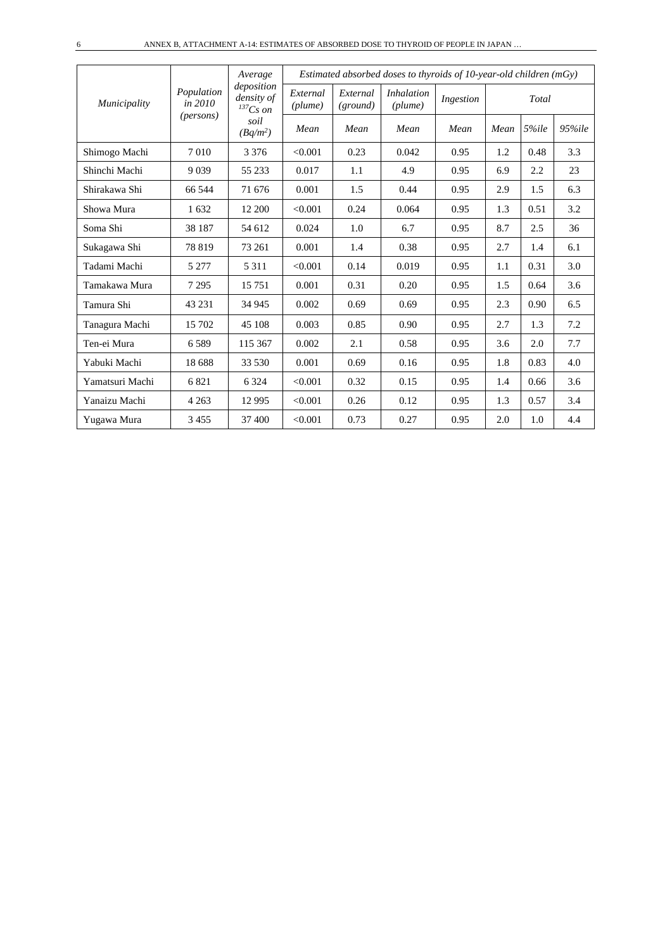|                 |                       | Average                                     |                     |                      | Estimated absorbed doses to thyroids of $10$ -year-old children (mGy) |           |      |       |        |
|-----------------|-----------------------|---------------------------------------------|---------------------|----------------------|-----------------------------------------------------------------------|-----------|------|-------|--------|
| Municipality    | Population<br>in 2010 | deposition<br>density of<br>${}^{137}Cs$ on | External<br>(plume) | External<br>(ground) | <i>Inhalation</i><br>$(\textit{plume})$                               | Ingestion |      | Total |        |
|                 | ( <i>persons</i> )    | soil<br>$(Bq/m^2)$                          | Mean                | Mean                 | Mean                                                                  | Mean      | Mean | 5%ile | 95%ile |
| Shimogo Machi   | 7010                  | 3 3 7 6                                     | < 0.001             | 0.23                 | 0.042                                                                 | 0.95      | 1.2  | 0.48  | 3.3    |
| Shinchi Machi   | 9 0 3 9               | 55 233                                      | 0.017               | 1.1                  | 4.9                                                                   | 0.95      | 6.9  | 2.2   | 23     |
| Shirakawa Shi   | 66 544                | 71 676                                      | 0.001               | 1.5                  | 0.44                                                                  | 0.95      | 2.9  | 1.5   | 6.3    |
| Showa Mura      | 1632                  | 12 200                                      | < 0.001             | 0.24                 | 0.064                                                                 | 0.95      | 1.3  | 0.51  | 3.2    |
| Soma Shi        | 38 187                | 54 612                                      | 0.024               | 1.0                  | 6.7                                                                   | 0.95      | 8.7  | 2.5   | 36     |
| Sukagawa Shi    | 78 819                | 73 261                                      | 0.001               | 1.4                  | 0.38                                                                  | 0.95      | 2.7  | 1.4   | 6.1    |
| Tadami Machi    | 5 2 7 7               | 5 3 1 1                                     | < 0.001             | 0.14                 | 0.019                                                                 | 0.95      | 1.1  | 0.31  | 3.0    |
| Tamakawa Mura   | 7 2 9 5               | 15 751                                      | 0.001               | 0.31                 | 0.20                                                                  | 0.95      | 1.5  | 0.64  | 3.6    |
| Tamura Shi      | 43 231                | 34 945                                      | 0.002               | 0.69                 | 0.69                                                                  | 0.95      | 2.3  | 0.90  | 6.5    |
| Tanagura Machi  | 15 702                | 45 108                                      | 0.003               | 0.85                 | 0.90                                                                  | 0.95      | 2.7  | 1.3   | 7.2    |
| Ten-ei Mura     | 6589                  | 115 367                                     | 0.002               | 2.1                  | 0.58                                                                  | 0.95      | 3.6  | 2.0   | 7.7    |
| Yabuki Machi    | 18 688                | 33 530                                      | 0.001               | 0.69                 | 0.16                                                                  | 0.95      | 1.8  | 0.83  | 4.0    |
| Yamatsuri Machi | 6821                  | 6 3 2 4                                     | < 0.001             | 0.32                 | 0.15                                                                  | 0.95      | 1.4  | 0.66  | 3.6    |
| Yanaizu Machi   | 4 2 6 3               | 12 9 95                                     | < 0.001             | 0.26                 | 0.12                                                                  | 0.95      | 1.3  | 0.57  | 3.4    |
| Yugawa Mura     | 3455                  | 37 400                                      | < 0.001             | 0.73                 | 0.27                                                                  | 0.95      | 2.0  | 1.0   | 4.4    |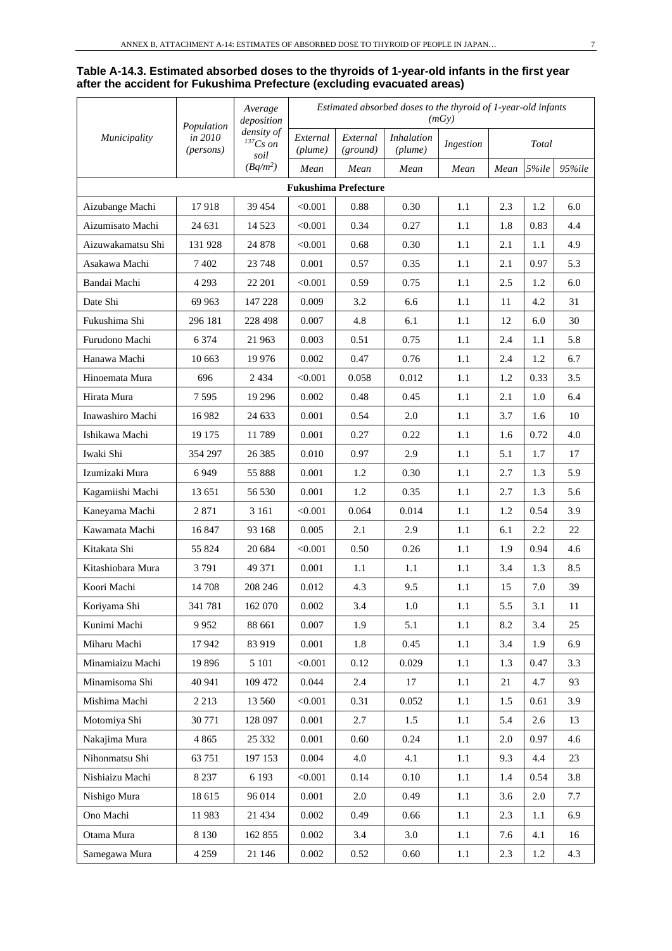#### **Table A-14.3. Estimated absorbed doses to the thyroids of 1-year-old infants in the first year after the accident for Fukushima Prefecture (excluding evacuated areas)**

|                   |                                    | Average<br>deposition               |                     |                             |                              | (mGv)     |      | Estimated absorbed doses to the thyroid of 1-year-old infants |            |  |  |
|-------------------|------------------------------------|-------------------------------------|---------------------|-----------------------------|------------------------------|-----------|------|---------------------------------------------------------------|------------|--|--|
| Municipality      | Population<br>in 2010<br>(persons) | density of<br>$^{137}Cs$ on<br>soil | External<br>(plume) | External<br>(ground)        | <b>Inhalation</b><br>(plume) | Ingestion |      | Total                                                         |            |  |  |
|                   |                                    | $(Bq/m^2)$                          | Mean                | Mean                        | Mean                         | Mean      | Mean | 5%ile                                                         | $95\%$ ile |  |  |
|                   |                                    |                                     |                     | <b>Fukushima Prefecture</b> |                              |           |      |                                                               |            |  |  |
| Aizubange Machi   | 17918                              | 39 454                              | < 0.001             | 0.88                        | 0.30                         | 1.1       | 2.3  | 1.2                                                           | 6.0        |  |  |
| Aizumisato Machi  | 24 631                             | 14 5 23                             | < 0.001             | 0.34                        | 0.27                         | 1.1       | 1.8  | 0.83                                                          | 4.4        |  |  |
| Aizuwakamatsu Shi | 131 928                            | 24 878                              | < 0.001             | 0.68                        | 0.30                         | 1.1       | 2.1  | 1.1                                                           | 4.9        |  |  |
| Asakawa Machi     | 7402                               | 23 748                              | 0.001               | 0.57                        | 0.35                         | 1.1       | 2.1  | 0.97                                                          | 5.3        |  |  |
| Bandai Machi      | 4 2 9 3                            | 22 201                              | < 0.001             | 0.59                        | 0.75                         | 1.1       | 2.5  | 1.2                                                           | 6.0        |  |  |
| Date Shi          | 69 963                             | 147 228                             | 0.009               | 3.2                         | 6.6                          | 1.1       | 11   | 4.2                                                           | 31         |  |  |
| Fukushima Shi     | 296 181                            | 228 498                             | 0.007               | 4.8                         | 6.1                          | 1.1       | 12   | 6.0                                                           | 30         |  |  |
| Furudono Machi    | 6 3 7 4                            | 21 963                              | 0.003               | 0.51                        | 0.75                         | 1.1       | 2.4  | 1.1                                                           | 5.8        |  |  |
| Hanawa Machi      | 10 663                             | 19 9 76                             | 0.002               | 0.47                        | 0.76                         | 1.1       | 2.4  | 1.2                                                           | 6.7        |  |  |
| Hinoemata Mura    | 696                                | 2 4 3 4                             | < 0.001             | 0.058                       | 0.012                        | 1.1       | 1.2  | 0.33                                                          | 3.5        |  |  |
| Hirata Mura       | 7595                               | 19 29 6                             | 0.002               | 0.48                        | 0.45                         | 1.1       | 2.1  | 1.0                                                           | 6.4        |  |  |
| Inawashiro Machi  | 16 982                             | 24 633                              | 0.001               | 0.54                        | 2.0                          | 1.1       | 3.7  | 1.6                                                           | 10         |  |  |
| Ishikawa Machi    | 19 175                             | 11789                               | 0.001               | 0.27                        | 0.22                         | 1.1       | 1.6  | 0.72                                                          | 4.0        |  |  |
| Iwaki Shi         | 354 297                            | 26 38 5                             | 0.010               | 0.97                        | 2.9                          | 1.1       | 5.1  | 1.7                                                           | 17         |  |  |
| Izumizaki Mura    | 6949                               | 55 888                              | 0.001               | 1.2                         | 0.30                         | 1.1       | 2.7  | 1.3                                                           | 5.9        |  |  |
| Kagamiishi Machi  | 13 651                             | 56 530                              | 0.001               | 1.2                         | 0.35                         | 1.1       | 2.7  | 1.3                                                           | 5.6        |  |  |
| Kaneyama Machi    | 2871                               | 3 1 6 1                             | < 0.001             | 0.064                       | 0.014                        | 1.1       | 1.2  | 0.54                                                          | 3.9        |  |  |
| Kawamata Machi    | 16 847                             | 93 168                              | 0.005               | 2.1                         | 2.9                          | 1.1       | 6.1  | 2.2                                                           | 22         |  |  |
| Kitakata Shi      | 55 824                             | 20 684                              | < 0.001             | 0.50                        | 0.26                         | 1.1       | 1.9  | 0.94                                                          | 4.6        |  |  |
| Kitashiobara Mura | 3791                               | 49 371                              | 0.001               | 1.1                         | 1.1                          | 1.1       | 3.4  | 1.3                                                           | 8.5        |  |  |
| Koori Machi       | 14 708                             | 208 246                             | 0.012               | 4.3                         | 9.5                          | 1.1       | 15   | 7.0                                                           | 39         |  |  |
| Koriyama Shi      | 341 781                            | 162 070                             | 0.002               | 3.4                         | $1.0\,$                      | 1.1       | 5.5  | 3.1                                                           | $11\,$     |  |  |
| Kunimi Machi      | 9952                               | 88 661                              | 0.007               | 1.9                         | 5.1                          | 1.1       | 8.2  | 3.4                                                           | 25         |  |  |
| Miharu Machi      | 17942                              | 83 919                              | 0.001               | 1.8                         | 0.45                         | 1.1       | 3.4  | 1.9                                                           | 6.9        |  |  |
| Minamiaizu Machi  | 19 896                             | 5 1 0 1                             | < 0.001             | 0.12                        | 0.029                        | 1.1       | 1.3  | 0.47                                                          | 3.3        |  |  |
| Minamisoma Shi    | 40 941                             | 109 472                             | 0.044               | 2.4                         | 17                           | 1.1       | 21   | 4.7                                                           | 93         |  |  |
| Mishima Machi     | 2 2 1 3                            | 13 560                              | < 0.001             | 0.31                        | 0.052                        | 1.1       | 1.5  | 0.61                                                          | 3.9        |  |  |
| Motomiya Shi      | 30 771                             | 128 097                             | 0.001               | 2.7                         | 1.5                          | 1.1       | 5.4  | 2.6                                                           | 13         |  |  |
| Nakajima Mura     | 4 8 6 5                            | 25 332                              | 0.001               | 0.60                        | 0.24                         | 1.1       | 2.0  | 0.97                                                          | 4.6        |  |  |
| Nihonmatsu Shi    | 63 751                             | 197 153                             | 0.004               | 4.0                         | 4.1                          | $1.1\,$   | 9.3  | 4.4                                                           | 23         |  |  |
| Nishiaizu Machi   | 8 2 3 7                            | 6 1 9 3                             | < 0.001             | 0.14                        | 0.10                         | 1.1       | 1.4  | 0.54                                                          | 3.8        |  |  |
| Nishigo Mura      | 18 615                             | 96 014                              | 0.001               | 2.0                         | 0.49                         | 1.1       | 3.6  | 2.0                                                           | 7.7        |  |  |
| Ono Machi         | 11983                              | 21 4 34                             | 0.002               | 0.49                        | 0.66                         | 1.1       | 2.3  | 1.1                                                           | 6.9        |  |  |
| Otama Mura        | 8 1 3 0                            | 162 855                             | 0.002               | 3.4                         | $3.0\,$                      | 1.1       | 7.6  | 4.1                                                           | 16         |  |  |
| Samegawa Mura     | 4 2 5 9                            | 21 146                              | 0.002               | 0.52                        | 0.60                         | $1.1\,$   | 2.3  | 1.2                                                           | 4.3        |  |  |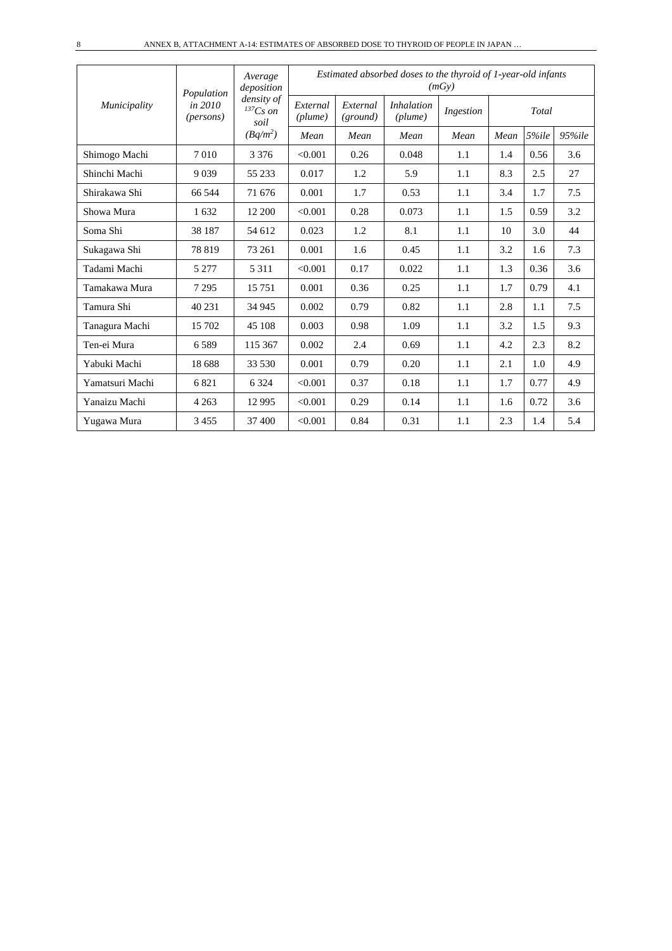|                 | Population                    | Average<br>deposition               | Estimated absorbed doses to the thyroid of 1-year-old infants<br>(mGy) |                      |                              |           |      |       |        |  |  |  |
|-----------------|-------------------------------|-------------------------------------|------------------------------------------------------------------------|----------------------|------------------------------|-----------|------|-------|--------|--|--|--|
| Municipality    | in 2010<br>( <i>persons</i> ) | density of<br>$^{137}Cs$ on<br>soil | External<br>(plume)                                                    | External<br>(ground) | <i>Inhalation</i><br>(plume) | Ingestion |      | Total |        |  |  |  |
|                 |                               | $(Bq/m^2)$                          | Mean                                                                   | Mean                 | Mean                         | Mean      | Mean | 5%ile | 95%ile |  |  |  |
| Shimogo Machi   | 7010                          | 3 3 7 6                             | < 0.001                                                                | 0.26                 | 0.048                        | 1.1       | 1.4  | 0.56  | 3.6    |  |  |  |
| Shinchi Machi   | 9 0 3 9                       | 55 233                              | 0.017                                                                  | 1.2                  | 5.9                          | 1.1       | 8.3  | 2.5   | 27     |  |  |  |
| Shirakawa Shi   | 66 544                        | 71 676                              | 0.001                                                                  | 1.7                  | 0.53                         | 1.1       | 3.4  | 1.7   | 7.5    |  |  |  |
| Showa Mura      | 1632                          | 12 200                              | < 0.001                                                                | 0.28                 | 0.073                        | 1.1       | 1.5  | 0.59  | 3.2    |  |  |  |
| Soma Shi        | 38 187                        | 54 612                              | 0.023                                                                  | 1.2                  | 8.1                          | 1.1       | 10   | 3.0   | 44     |  |  |  |
| Sukagawa Shi    | 78 819                        | 73 261                              | 0.001                                                                  | 1.6                  | 0.45                         | 1.1       | 3.2  | 1.6   | 7.3    |  |  |  |
| Tadami Machi    | 5 2 7 7                       | 5 3 1 1                             | < 0.001                                                                | 0.17                 | 0.022                        | 1.1       | 1.3  | 0.36  | 3.6    |  |  |  |
| Tamakawa Mura   | 7 2 9 5                       | 15751                               | 0.001                                                                  | 0.36                 | 0.25                         | 1.1       | 1.7  | 0.79  | 4.1    |  |  |  |
| Tamura Shi      | 40 231                        | 34 945                              | 0.002                                                                  | 0.79                 | 0.82                         | 1.1       | 2.8  | 1.1   | 7.5    |  |  |  |
| Tanagura Machi  | 15 702                        | 45 108                              | 0.003                                                                  | 0.98                 | 1.09                         | 1.1       | 3.2  | 1.5   | 9.3    |  |  |  |
| Ten-ei Mura     | 6589                          | 115 367                             | 0.002                                                                  | 2.4                  | 0.69                         | 1.1       | 4.2  | 2.3   | 8.2    |  |  |  |
| Yabuki Machi    | 18 688                        | 33 530                              | 0.001                                                                  | 0.79                 | 0.20                         | 1.1       | 2.1  | 1.0   | 4.9    |  |  |  |
| Yamatsuri Machi | 6821                          | 6 3 2 4                             | < 0.001                                                                | 0.37                 | 0.18                         | 1.1       | 1.7  | 0.77  | 4.9    |  |  |  |
| Yanaizu Machi   | 4 2 6 3                       | 12 9 95                             | < 0.001                                                                | 0.29                 | 0.14                         | 1.1       | 1.6  | 0.72  | 3.6    |  |  |  |
| Yugawa Mura     | 3 4 5 5                       | 37 400                              | < 0.001                                                                | 0.84                 | 0.31                         | 1.1       | 2.3  | 1.4   | 5.4    |  |  |  |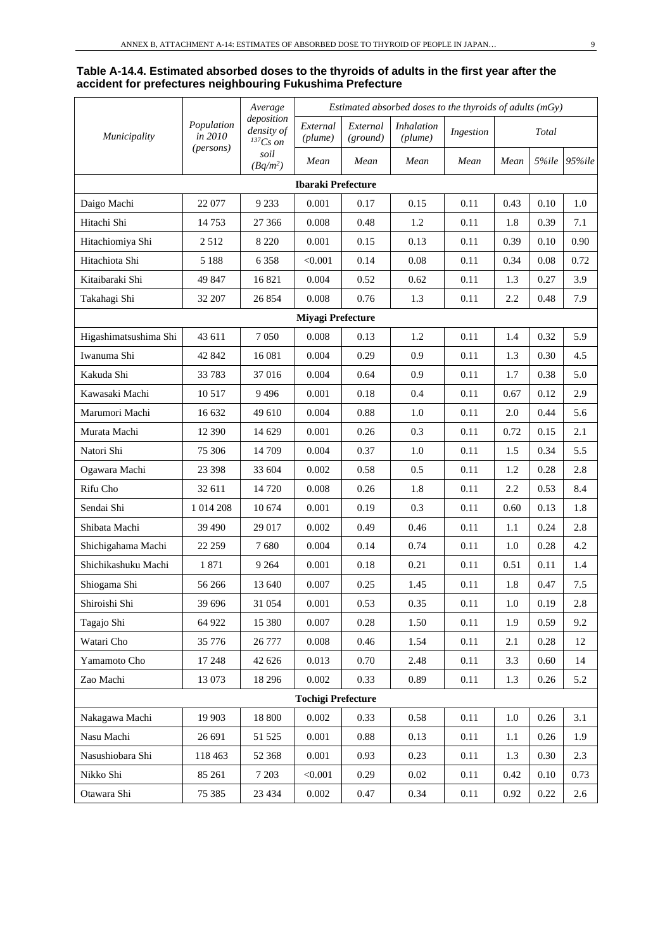#### **Table A-14.4. Estimated absorbed doses to the thyroids of adults in the first year after the accident for prefectures neighbouring Fukushima Prefecture**

|                       |                       | Average                                     |                           |                      |                              |           | Estimated absorbed doses to the thyroids of adults (mGy) |       |            |  |  |  |  |  |
|-----------------------|-----------------------|---------------------------------------------|---------------------------|----------------------|------------------------------|-----------|----------------------------------------------------------|-------|------------|--|--|--|--|--|
| Municipality          | Population<br>in 2010 | deposition<br>density of<br>${}^{137}Cs$ on | External<br>(plume)       | External<br>(ground) | <b>Inhalation</b><br>(plume) | Ingestion |                                                          | Total |            |  |  |  |  |  |
|                       | ( <i>persons</i> )    | soil<br>$(Bq/m^2)$                          | Mean                      | Mean                 | Mean                         | Mean      | Mean                                                     | 5%ile | $95\%$ ile |  |  |  |  |  |
|                       |                       |                                             | <b>Ibaraki Prefecture</b> |                      |                              |           |                                                          |       |            |  |  |  |  |  |
| Daigo Machi           | 22 077                | 9 2 3 3                                     | 0.001                     | 0.17                 | 0.15                         | 0.11      | 0.43                                                     | 0.10  | 1.0        |  |  |  |  |  |
| Hitachi Shi           | 14753                 | 27 36 6                                     | 0.008                     | 0.48                 | 1.2                          | 0.11      | 1.8                                                      | 0.39  | 7.1        |  |  |  |  |  |
| Hitachiomiya Shi      | 2512                  | 8 2 2 0                                     | 0.001                     | 0.15                 | 0.13                         | 0.11      | 0.39                                                     | 0.10  | 0.90       |  |  |  |  |  |
| Hitachiota Shi        | 5 1 8 8               | 6 3 5 8                                     | < 0.001                   | 0.14                 | 0.08                         | 0.11      | 0.34                                                     | 0.08  | 0.72       |  |  |  |  |  |
| Kitaibaraki Shi       | 49 847                | 16821                                       | 0.004                     | 0.52                 | 0.62                         | 0.11      | 1.3                                                      | 0.27  | 3.9        |  |  |  |  |  |
| Takahagi Shi          | 32 207                | 26 854                                      | 0.008                     | 0.76                 | 1.3                          | 0.11      | 2.2                                                      | 0.48  | 7.9        |  |  |  |  |  |
|                       |                       |                                             | <b>Miyagi Prefecture</b>  |                      |                              |           |                                                          |       |            |  |  |  |  |  |
| Higashimatsushima Shi | 43 611                | 7050                                        | 0.008                     | 0.13                 | 1.2                          | 0.11      | 1.4                                                      | 0.32  | 5.9        |  |  |  |  |  |
| Iwanuma Shi           | 42 842                | 16 08 1                                     | 0.004                     | 0.29                 | 0.9                          | 0.11      | 1.3                                                      | 0.30  | 4.5        |  |  |  |  |  |
| Kakuda Shi            | 33783                 | 37016                                       | 0.004                     | 0.64                 | 0.9                          | 0.11      | 1.7                                                      | 0.38  | 5.0        |  |  |  |  |  |
| Kawasaki Machi        | 10 5 17               | 9496                                        | 0.001                     | 0.18                 | 0.4                          | 0.11      | 0.67                                                     | 0.12  | 2.9        |  |  |  |  |  |
| Marumori Machi        | 16 632                | 49 610                                      | 0.004                     | 0.88                 | 1.0                          | 0.11      | 2.0                                                      | 0.44  | 5.6        |  |  |  |  |  |
| Murata Machi          | 12 390                | 14 629                                      | 0.001                     | 0.26                 | 0.3                          | 0.11      | 0.72                                                     | 0.15  | 2.1        |  |  |  |  |  |
| Natori Shi            | 75 306                | 14 709                                      | 0.004                     | 0.37                 | 1.0                          | 0.11      | 1.5                                                      | 0.34  | 5.5        |  |  |  |  |  |
| Ogawara Machi         | 23 3 98               | 33 604                                      | 0.002                     | 0.58                 | 0.5                          | 0.11      | 1.2                                                      | 0.28  | 2.8        |  |  |  |  |  |
| Rifu Cho              | 32 611                | 14 7 20                                     | 0.008                     | 0.26                 | 1.8                          | 0.11      | 2.2                                                      | 0.53  | 8.4        |  |  |  |  |  |
| Sendai Shi            | 1 0 1 4 2 0 8         | 10 674                                      | 0.001                     | 0.19                 | 0.3                          | 0.11      | 0.60                                                     | 0.13  | 1.8        |  |  |  |  |  |
| Shibata Machi         | 39 490                | 29 017                                      | 0.002                     | 0.49                 | 0.46                         | 0.11      | 1.1                                                      | 0.24  | 2.8        |  |  |  |  |  |
| Shichigahama Machi    | 22 259                | 7680                                        | 0.004                     | 0.14                 | 0.74                         | 0.11      | 1.0                                                      | 0.28  | 4.2        |  |  |  |  |  |
| Shichikashuku Machi   | 1871                  | 9 2 6 4                                     | 0.001                     | 0.18                 | 0.21                         | 0.11      | 0.51                                                     | 0.11  | 1.4        |  |  |  |  |  |
| Shiogama Shi          | 56 266                | 13 640                                      | 0.007                     | 0.25                 | 1.45                         | 0.11      | 1.8                                                      | 0.47  | 7.5        |  |  |  |  |  |
| Shiroishi Shi         | 39 696                | 31 054                                      | $0.001\,$                 | 0.53                 | 0.35                         | 0.11      | $1.0\,$                                                  | 0.19  | $2.8\,$    |  |  |  |  |  |
| Tagajo Shi            | 64 922                | 15 380                                      | 0.007                     | 0.28                 | 1.50                         | 0.11      | 1.9                                                      | 0.59  | 9.2        |  |  |  |  |  |
| Watari Cho            | 35 776                | 26 777                                      | 0.008                     | 0.46                 | 1.54                         | 0.11      | 2.1                                                      | 0.28  | 12         |  |  |  |  |  |
| Yamamoto Cho          | 17 248                | 42 626                                      | 0.013                     | 0.70                 | 2.48                         | 0.11      | 3.3                                                      | 0.60  | 14         |  |  |  |  |  |
| Zao Machi             | 13 073                | 18 29 6                                     | 0.002                     | 0.33                 | 0.89                         | 0.11      | 1.3                                                      | 0.26  | 5.2        |  |  |  |  |  |
|                       |                       |                                             | <b>Tochigi Prefecture</b> |                      |                              |           |                                                          |       |            |  |  |  |  |  |
| Nakagawa Machi        | 19 903                | 18 800                                      | 0.002                     | 0.33                 | 0.58                         | 0.11      | $1.0\,$                                                  | 0.26  | 3.1        |  |  |  |  |  |
| Nasu Machi            | 26 691                | 51 525                                      | 0.001                     | 0.88                 | 0.13                         | 0.11      | 1.1                                                      | 0.26  | 1.9        |  |  |  |  |  |
| Nasushiobara Shi      | 118 463               | 52 368                                      | 0.001                     | 0.93                 | 0.23                         | 0.11      | 1.3                                                      | 0.30  | 2.3        |  |  |  |  |  |
| Nikko Shi             | 85 261                | 7 2 0 3                                     | < 0.001                   | 0.29                 | $0.02\,$                     | 0.11      | 0.42                                                     | 0.10  | 0.73       |  |  |  |  |  |
| Otawara Shi           | 75 385                | 23 4 34                                     | 0.002                     | 0.47                 | 0.34                         | 0.11      | 0.92                                                     | 0.22  | 2.6        |  |  |  |  |  |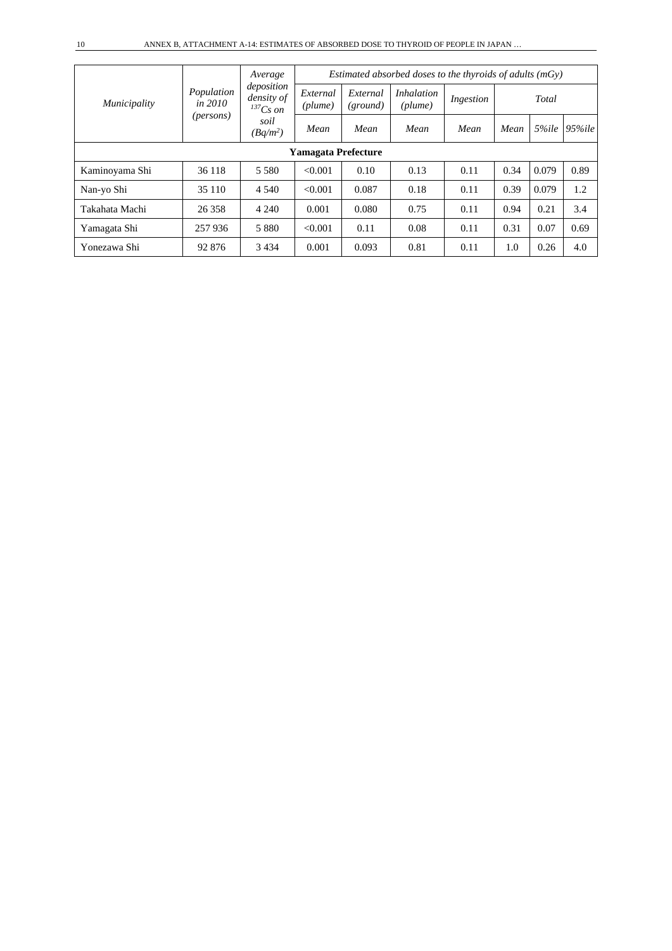|                            |                         | Average                                   | Estimated absorbed doses to the thyroids of adults $(mGv)$ |                      |                              |           |      |       |            |  |  |
|----------------------------|-------------------------|-------------------------------------------|------------------------------------------------------------|----------------------|------------------------------|-----------|------|-------|------------|--|--|
| Municipality               | Population<br>in $2010$ | deposition<br>density of<br>$^{137}Cs$ on | External<br>(plume)                                        | External<br>(ground) | <i>Inhalation</i><br>(plume) | Ingestion |      | Total |            |  |  |
|                            | ( <i>persons</i> )      | soil<br>$(Bq/m^2)$                        | Mean                                                       | Mean                 | Mean                         | Mean      | Mean | 5%ile | $95\%$ ile |  |  |
| <b>Yamagata Prefecture</b> |                         |                                           |                                                            |                      |                              |           |      |       |            |  |  |
| Kaminoyama Shi             | 36 118                  | 5 5 8 0                                   | < 0.001                                                    | 0.10                 | 0.13                         | 0.11      | 0.34 | 0.079 | 0.89       |  |  |
| Nan-yo Shi                 | 35 110                  | 4 5 4 0                                   | < 0.001                                                    | 0.087                | 0.18                         | 0.11      | 0.39 | 0.079 | 1.2        |  |  |
| Takahata Machi             | 26 358                  | 4 2 4 0                                   | 0.001                                                      | 0.080                | 0.75                         | 0.11      | 0.94 | 0.21  | 3.4        |  |  |
| Yamagata Shi               | 257 936                 | 5 8 8 0                                   | < 0.001                                                    | 0.11                 | 0.08                         | 0.11      | 0.31 | 0.07  | 0.69       |  |  |
| Yonezawa Shi               | 92 876                  | 3 4 3 4                                   | 0.001                                                      | 0.093                | 0.81                         | 0.11      | 1.0  | 0.26  | 4.0        |  |  |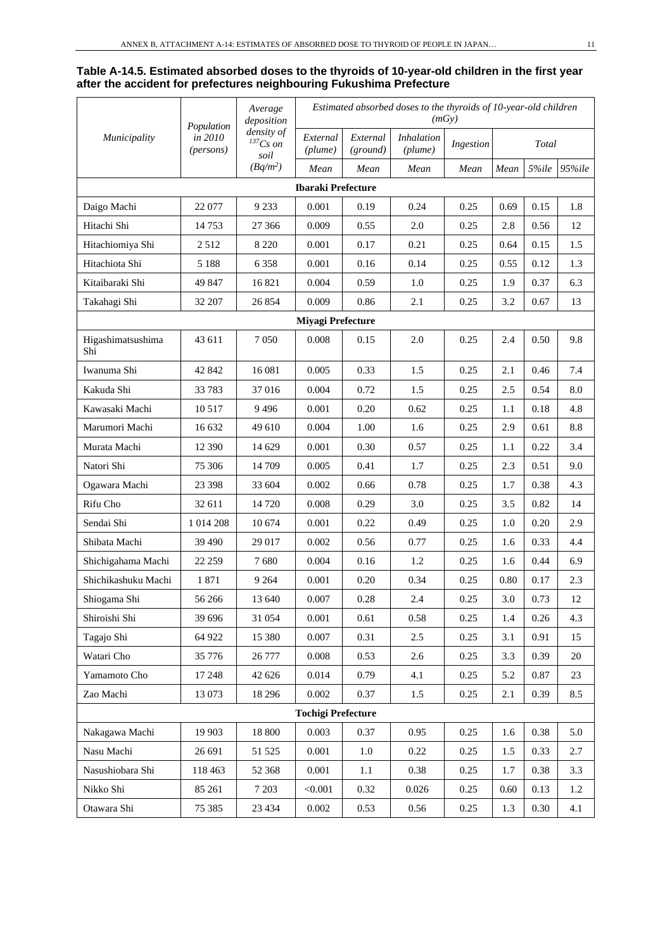#### **Table A-14.5. Estimated absorbed doses to the thyroids of 10-year-old children in the first year after the accident for prefectures neighbouring Fukushima Prefecture**

|                          | Population                    | Average<br>deposition               |                           |                      | Estimated absorbed doses to the thyroids of 10-year-old children | (mGy)     |      |       |        |
|--------------------------|-------------------------------|-------------------------------------|---------------------------|----------------------|------------------------------------------------------------------|-----------|------|-------|--------|
| Municipality             | in 2010<br>( <i>persons</i> ) | density of<br>$^{137}Cs$ on<br>soil | External<br>(plume)       | External<br>(ground) | <b>Inhalation</b><br>(plume)                                     | Ingestion |      | Total |        |
|                          |                               | $(Bq/m^2)$                          | Mean                      | Mean                 | Mean                                                             | Mean      | Mean | 5%ile | 95%ile |
|                          |                               |                                     | <b>Ibaraki Prefecture</b> |                      |                                                                  |           |      |       |        |
| Daigo Machi              | 22 077                        | 9 2 3 3                             | 0.001                     | 0.19                 | 0.24                                                             | 0.25      | 0.69 | 0.15  | 1.8    |
| Hitachi Shi              | 14 753                        | 27 366                              | 0.009                     | 0.55                 | 2.0                                                              | 0.25      | 2.8  | 0.56  | 12     |
| Hitachiomiya Shi         | 2512                          | 8 2 2 0                             | 0.001                     | 0.17                 | 0.21                                                             | 0.25      | 0.64 | 0.15  | 1.5    |
| Hitachiota Shi           | 5 1 8 8                       | 6 3 5 8                             | 0.001                     | 0.16                 | 0.14                                                             | 0.25      | 0.55 | 0.12  | 1.3    |
| Kitaibaraki Shi          | 49 847                        | 16821                               | 0.004                     | 0.59                 | 1.0                                                              | 0.25      | 1.9  | 0.37  | 6.3    |
| Takahagi Shi             | 32 207                        | 26 854                              | 0.009                     | 0.86                 | 2.1                                                              | 0.25      | 3.2  | 0.67  | 13     |
|                          |                               |                                     | Miyagi Prefecture         |                      |                                                                  |           |      |       |        |
| Higashimatsushima<br>Shi | 43 611                        | 7050                                | 0.008                     | 0.15                 | 2.0                                                              | 0.25      | 2.4  | 0.50  | 9.8    |
| Iwanuma Shi              | 42 842                        | 16 081                              | 0.005                     | 0.33                 | 1.5                                                              | 0.25      | 2.1  | 0.46  | 7.4    |
| Kakuda Shi               | 33 783                        | 37 016                              | 0.004                     | 0.72                 | 1.5                                                              | 0.25      | 2.5  | 0.54  | 8.0    |
| Kawasaki Machi           | 10 5 17                       | 9496                                | 0.001                     | 0.20                 | 0.62                                                             | 0.25      | 1.1  | 0.18  | 4.8    |
| Marumori Machi           | 16 632                        | 49 610                              | 0.004                     | 1.00                 | 1.6                                                              | 0.25      | 2.9  | 0.61  | 8.8    |
| Murata Machi             | 12 390                        | 14 629                              | 0.001                     | 0.30                 | 0.57                                                             | 0.25      | 1.1  | 0.22  | 3.4    |
| Natori Shi               | 75 30 6                       | 14 709                              | 0.005                     | 0.41                 | 1.7                                                              | 0.25      | 2.3  | 0.51  | 9.0    |
| Ogawara Machi            | 23 3 98                       | 33 604                              | 0.002                     | 0.66                 | 0.78                                                             | 0.25      | 1.7  | 0.38  | 4.3    |
| Rifu Cho                 | 32 611                        | 14 7 20                             | 0.008                     | 0.29                 | 3.0                                                              | 0.25      | 3.5  | 0.82  | 14     |
| Sendai Shi               | 1 014 208                     | 10 674                              | 0.001                     | 0.22                 | 0.49                                                             | 0.25      | 1.0  | 0.20  | 2.9    |
| Shibata Machi            | 39 490                        | 29 017                              | 0.002                     | 0.56                 | 0.77                                                             | 0.25      | 1.6  | 0.33  | 4.4    |
| Shichigahama Machi       | 22 259                        | 7680                                | 0.004                     | 0.16                 | 1.2                                                              | 0.25      | 1.6  | 0.44  | 6.9    |
| Shichikashuku Machi      | 1871                          | 9 2 6 4                             | 0.001                     | 0.20                 | 0.34                                                             | 0.25      | 0.80 | 0.17  | 2.3    |
| Shiogama Shi             | 56 266                        | 13 640                              | 0.007                     | 0.28                 | $2.4\,$                                                          | 0.25      | 3.0  | 0.73  | 12     |
| Shiroishi Shi            | 39 696                        | 31 054                              | 0.001                     | 0.61                 | 0.58                                                             | 0.25      | 1.4  | 0.26  | 4.3    |
| Tagajo Shi               | 64 922                        | 15 380                              | 0.007                     | 0.31                 | 2.5                                                              | 0.25      | 3.1  | 0.91  | 15     |
| Watari Cho               | 35 776                        | 26 777                              | 0.008                     | 0.53                 | 2.6                                                              | 0.25      | 3.3  | 0.39  | $20\,$ |
| Yamamoto Cho             | 17 248                        | 42 626                              | 0.014                     | 0.79                 | 4.1                                                              | 0.25      | 5.2  | 0.87  | 23     |
| Zao Machi                | 13 073                        | 18 29 6                             | 0.002                     | 0.37                 | 1.5                                                              | 0.25      | 2.1  | 0.39  | 8.5    |
|                          |                               |                                     | <b>Tochigi Prefecture</b> |                      |                                                                  |           |      |       |        |
| Nakagawa Machi           | 19 903                        | 18 800                              | 0.003                     | 0.37                 | 0.95                                                             | 0.25      | 1.6  | 0.38  | 5.0    |
| Nasu Machi               | 26 691                        | 51 525                              | 0.001                     | $1.0\,$              | 0.22                                                             | 0.25      | 1.5  | 0.33  | 2.7    |
| Nasushiobara Shi         | 118 463                       | 52 368                              | 0.001                     | $1.1\,$              | 0.38                                                             | 0.25      | 1.7  | 0.38  | 3.3    |
| Nikko Shi                | 85 261                        | 7 2 0 3                             | < 0.001                   | 0.32                 | 0.026                                                            | 0.25      | 0.60 | 0.13  | 1.2    |
| Otawara Shi              | 75 385                        | 23 4 34                             | 0.002                     | 0.53                 | 0.56                                                             | 0.25      | 1.3  | 0.30  | 4.1    |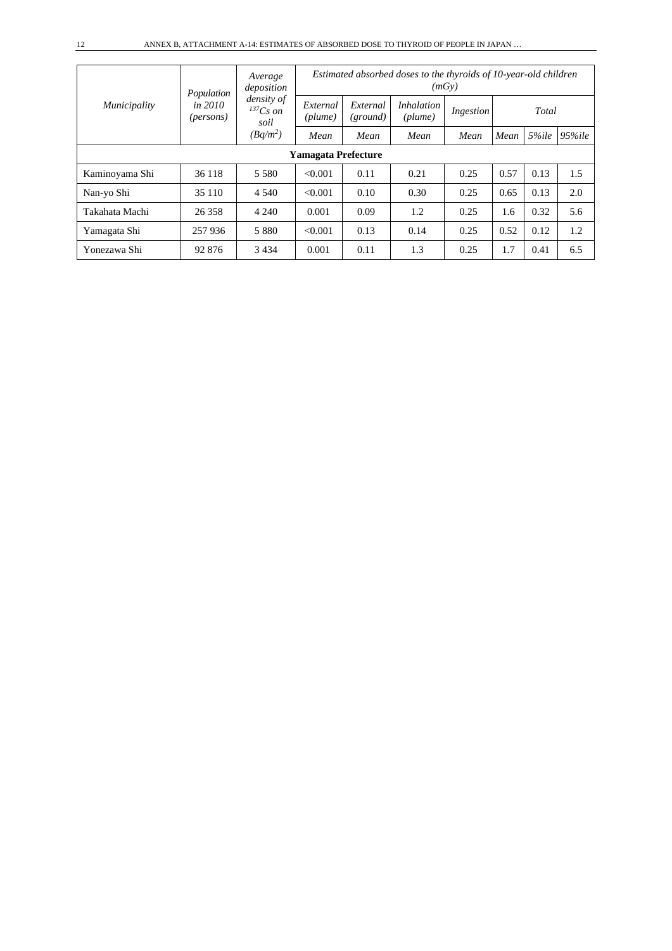|                            | Population                    | Average<br>deposition               | Estimated absorbed doses to the thyroids of 10-year-old children<br>(mGv) |                      |                              |           |      |       |            |  |  |
|----------------------------|-------------------------------|-------------------------------------|---------------------------------------------------------------------------|----------------------|------------------------------|-----------|------|-------|------------|--|--|
| <i>Municipality</i>        | in 2010<br>( <i>persons</i> ) | density of<br>$^{137}Cs$ on<br>soil | External<br>$(\textit{plume})$                                            | External<br>(ground) | <i>Inhalation</i><br>(plume) | Ingestion |      | Total |            |  |  |
|                            |                               | $(Bq/m^2)$                          | Mean                                                                      | Mean                 | Mean                         | Mean      | Mean | 5%ile | $95\%$ ile |  |  |
| <b>Yamagata Prefecture</b> |                               |                                     |                                                                           |                      |                              |           |      |       |            |  |  |
| Kaminoyama Shi             | 36 118                        | 5 5 8 0                             | < 0.001                                                                   | 0.11                 | 0.21                         | 0.25      | 0.57 | 0.13  | 1.5        |  |  |
| Nan-yo Shi                 | 35 110                        | 4 5 4 0                             | < 0.001                                                                   | 0.10                 | 0.30                         | 0.25      | 0.65 | 0.13  | 2.0        |  |  |
| Takahata Machi             | 26 358                        | 4 2 4 0                             | 0.001                                                                     | 0.09                 | 1.2                          | 0.25      | 1.6  | 0.32  | 5.6        |  |  |
| Yamagata Shi               | 257 936                       | 5 8 8 0                             | < 0.001                                                                   | 0.13                 | 0.14                         | 0.25      | 0.52 | 0.12  | 1.2        |  |  |
| Yonezawa Shi               | 92 876                        | 3 4 3 4                             | 0.001                                                                     | 0.11                 | 1.3                          | 0.25      | 1.7  | 0.41  | 6.5        |  |  |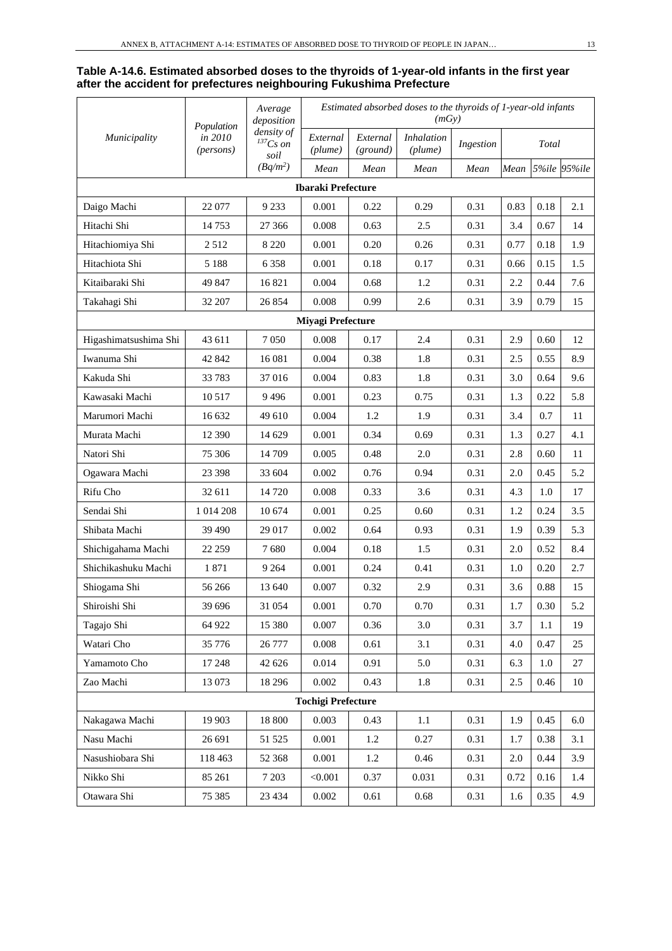#### **Table A-14.6. Estimated absorbed doses to the thyroids of 1-year-old infants in the first year after the accident for prefectures neighbouring Fukushima Prefecture**

|                       | Population           | Average<br>deposition               |                           |                      | Estimated absorbed doses to the thyroids of 1-year-old infants<br>(mGy) |           |         |       |              |
|-----------------------|----------------------|-------------------------------------|---------------------------|----------------------|-------------------------------------------------------------------------|-----------|---------|-------|--------------|
| Municipality          | in 2010<br>(persons) | density of<br>$^{137}Cs$ on<br>soil | External<br>(plume)       | External<br>(ground) | <b>Inhalation</b><br>(plume)                                            | Ingestion |         | Total |              |
|                       |                      | $(Bq/m^2)$                          | Mean                      | Mean                 | Mean                                                                    | Mean      | Mean    |       | 5%ile 95%ile |
|                       |                      |                                     | <b>Ibaraki Prefecture</b> |                      |                                                                         |           |         |       |              |
| Daigo Machi           | 22 077               | 9 2 3 3                             | 0.001                     | 0.22                 | 0.29                                                                    | 0.31      | 0.83    | 0.18  | 2.1          |
| Hitachi Shi           | 14753                | 27 36 6                             | 0.008                     | 0.63                 | 2.5                                                                     | 0.31      | 3.4     | 0.67  | 14           |
| Hitachiomiya Shi      | 2512                 | 8 2 2 0                             | 0.001                     | 0.20                 | 0.26                                                                    | 0.31      | 0.77    | 0.18  | 1.9          |
| Hitachiota Shi        | 5 1 8 8              | 6 3 5 8                             | 0.001                     | 0.18                 | 0.17                                                                    | 0.31      | 0.66    | 0.15  | 1.5          |
| Kitaibaraki Shi       | 49 847               | 16821                               | 0.004                     | 0.68                 | 1.2                                                                     | 0.31      | 2.2     | 0.44  | 7.6          |
| Takahagi Shi          | 32 207               | 26 854                              | 0.008                     | 0.99                 | 2.6                                                                     | 0.31      | 3.9     | 0.79  | 15           |
|                       |                      |                                     | Miyagi Prefecture         |                      |                                                                         |           |         |       |              |
| Higashimatsushima Shi | 43 611               | 7050                                | 0.008                     | 0.17                 | 2.4                                                                     | 0.31      | 2.9     | 0.60  | 12           |
| Iwanuma Shi           | 42 842               | 16 081                              | 0.004                     | 0.38                 | 1.8                                                                     | 0.31      | 2.5     | 0.55  | 8.9          |
| Kakuda Shi            | 33 7 83              | 37 016                              | 0.004                     | 0.83                 | 1.8                                                                     | 0.31      | 3.0     | 0.64  | 9.6          |
| Kawasaki Machi        | 10 5 17              | 9496                                | 0.001                     | 0.23                 | 0.75                                                                    | 0.31      | 1.3     | 0.22  | 5.8          |
| Marumori Machi        | 16 632               | 49 610                              | 0.004                     | 1.2                  | 1.9                                                                     | 0.31      | 3.4     | 0.7   | 11           |
| Murata Machi          | 12 390               | 14 629                              | 0.001                     | 0.34                 | 0.69                                                                    | 0.31      | 1.3     | 0.27  | 4.1          |
| Natori Shi            | 75 306               | 14 709                              | 0.005                     | 0.48                 | 2.0                                                                     | 0.31      | 2.8     | 0.60  | 11           |
| Ogawara Machi         | 23 398               | 33 604                              | 0.002                     | 0.76                 | 0.94                                                                    | 0.31      | 2.0     | 0.45  | 5.2          |
| Rifu Cho              | 32 611               | 14 720                              | 0.008                     | 0.33                 | 3.6                                                                     | 0.31      | 4.3     | 1.0   | 17           |
| Sendai Shi            | 1 014 208            | 10 674                              | 0.001                     | 0.25                 | 0.60                                                                    | 0.31      | 1.2     | 0.24  | 3.5          |
| Shibata Machi         | 39 490               | 29 017                              | 0.002                     | 0.64                 | 0.93                                                                    | 0.31      | 1.9     | 0.39  | 5.3          |
| Shichigahama Machi    | 22 259               | 7680                                | 0.004                     | 0.18                 | 1.5                                                                     | 0.31      | 2.0     | 0.52  | 8.4          |
| Shichikashuku Machi   | 1871                 | 9 2 6 4                             | 0.001                     | 0.24                 | 0.41                                                                    | 0.31      | 1.0     | 0.20  | 2.7          |
| Shiogama Shi          | 56 266               | 13 640                              | 0.007                     | 0.32                 | 2.9                                                                     | 0.31      | 3.6     | 0.88  | 15           |
| Shiroishi Shi         | 39 696               | 31 054                              | 0.001                     | 0.70                 | 0.70                                                                    | 0.31      | 1.7     | 0.30  | 5.2          |
| Tagajo Shi            | 64 922               | 15 380                              | 0.007                     | 0.36                 | 3.0                                                                     | 0.31      | 3.7     | 1.1   | 19           |
| Watari Cho            | 35 776               | 26 777                              | 0.008                     | 0.61                 | 3.1                                                                     | 0.31      | 4.0     | 0.47  | 25           |
| Yamamoto Cho          | 17 248               | 42 626                              | 0.014                     | 0.91                 | 5.0                                                                     | 0.31      | 6.3     | 1.0   | 27           |
| Zao Machi             | 13 073               | 18 29 6                             | 0.002                     | 0.43                 | 1.8                                                                     | 0.31      | 2.5     | 0.46  | 10           |
|                       |                      |                                     | <b>Tochigi Prefecture</b> |                      |                                                                         |           |         |       |              |
| Nakagawa Machi        | 19 903               | 18 800                              | 0.003                     | 0.43                 | 1.1                                                                     | 0.31      | 1.9     | 0.45  | 6.0          |
| Nasu Machi            | 26 691               | 51 525                              | 0.001                     | 1.2                  | 0.27                                                                    | 0.31      | 1.7     | 0.38  | 3.1          |
| Nasushiobara Shi      | 118 463              | 52 368                              | 0.001                     | 1.2                  | 0.46                                                                    | 0.31      | $2.0\,$ | 0.44  | 3.9          |
| Nikko Shi             | 85 261               | 7 2 0 3                             | < 0.001                   | 0.37                 | 0.031                                                                   | 0.31      | 0.72    | 0.16  | 1.4          |
| Otawara Shi           | 75 385               | 23 4 34                             | 0.002                     | 0.61                 | 0.68                                                                    | 0.31      | 1.6     | 0.35  | 4.9          |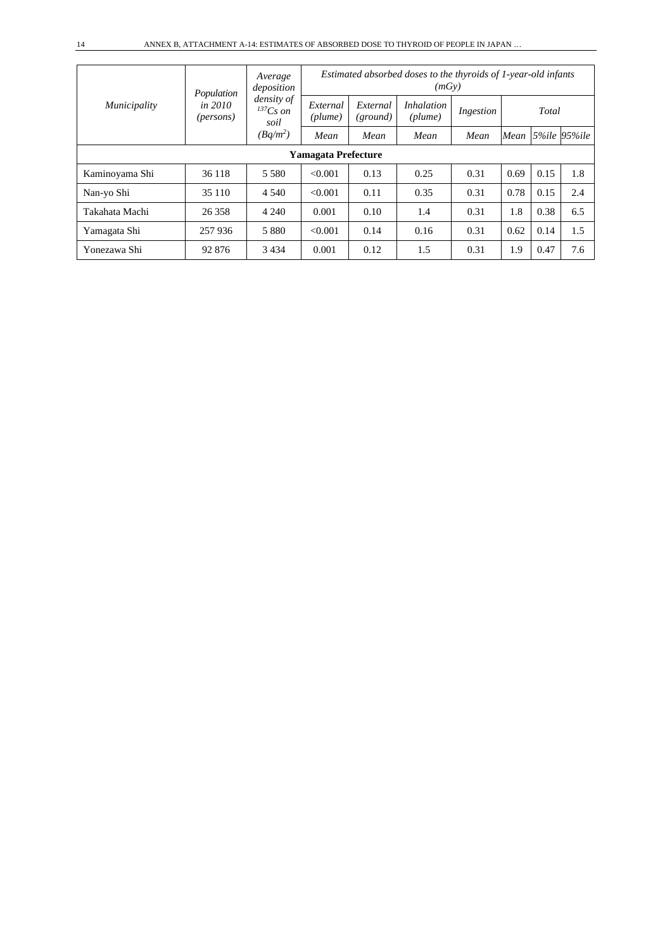|                            | Population             | Average<br>deposition               | Estimated absorbed doses to the thyroids of 1-year-old infants<br>(mGy) |                      |                                         |           |      |       |                   |  |  |
|----------------------------|------------------------|-------------------------------------|-------------------------------------------------------------------------|----------------------|-----------------------------------------|-----------|------|-------|-------------------|--|--|
| Municipality               | in $2010$<br>(persons) | density of<br>$^{137}Cs$ on<br>soil | External<br>(plume)                                                     | External<br>(ground) | <i>Inhalation</i><br>$(\textit{plume})$ | Ingestion |      | Total |                   |  |  |
|                            |                        | $(Bq/m^2)$                          | Mean                                                                    | Mean                 | Mean                                    | Mean      |      |       | Mean 5%ile 95%ile |  |  |
| <b>Yamagata Prefecture</b> |                        |                                     |                                                                         |                      |                                         |           |      |       |                   |  |  |
| Kaminoyama Shi             | 36 118                 | 5 5 8 0                             | < 0.001                                                                 | 0.13                 | 0.25                                    | 0.31      | 0.69 | 0.15  | 1.8               |  |  |
| Nan-yo Shi                 | 35 110                 | 4 5 4 0                             | < 0.001                                                                 | 0.11                 | 0.35                                    | 0.31      | 0.78 | 0.15  | 2.4               |  |  |
| Takahata Machi             | 26 358                 | 4 2 4 0                             | 0.001                                                                   | 0.10                 | 1.4                                     | 0.31      | 1.8  | 0.38  | 6.5               |  |  |
| Yamagata Shi               | 257936                 | 5 8 8 0                             | < 0.001                                                                 | 0.14                 | 0.16                                    | 0.31      | 0.62 | 0.14  | 1.5               |  |  |
| Yonezawa Shi               | 92 876                 | 3 4 3 4                             | 0.001                                                                   | 0.12                 | 1.5                                     | 0.31      | 1.9  | 0.47  | 7.6               |  |  |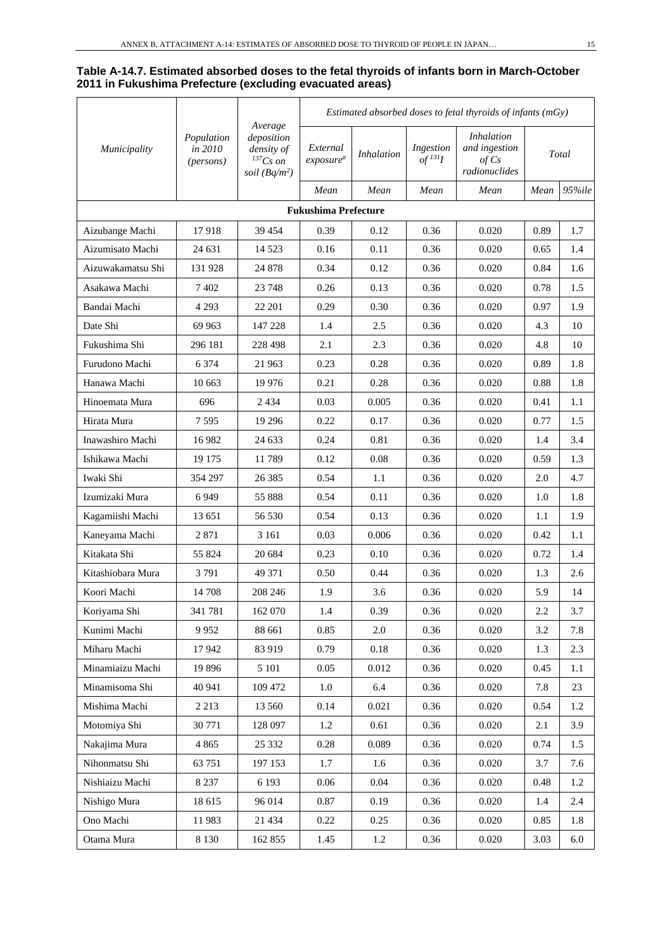### **Table A-14.7. Estimated absorbed doses to the fetal thyroids of infants born in March-October 2011 in Fukushima Prefecture (excluding evacuated areas)**

|                   |                                    |                                                                         | Estimated absorbed doses to fetal thyroids of infants $(mGy)$ |                   |                                      |                                                              |      |        |
|-------------------|------------------------------------|-------------------------------------------------------------------------|---------------------------------------------------------------|-------------------|--------------------------------------|--------------------------------------------------------------|------|--------|
| Municipality      | Population<br>in 2010<br>(persons) | Average<br>deposition<br>density of<br>$^{137}Cs$ on<br>soil $(Bq/m^2)$ | External<br>exposure <sup>a</sup>                             | <b>Inhalation</b> | Ingestion<br>$of$ <sup>131</sup> $I$ | <i>Inhalation</i><br>and ingestion<br>of Cs<br>radionuclides |      | Total  |
|                   |                                    |                                                                         | Mean                                                          | Mean              | Mean                                 | Mean                                                         | Mean | 95%ile |
|                   |                                    |                                                                         | <b>Fukushima Prefecture</b>                                   |                   |                                      |                                                              |      |        |
| Aizubange Machi   | 17918                              | 39 454                                                                  | 0.39                                                          | 0.12              | 0.36                                 | 0.020                                                        | 0.89 | 1.7    |
| Aizumisato Machi  | 24 631                             | 14 5 23                                                                 | 0.16                                                          | 0.11              | 0.36                                 | 0.020                                                        | 0.65 | 1.4    |
| Aizuwakamatsu Shi | 131 928                            | 24 878                                                                  | 0.34                                                          | 0.12              | 0.36                                 | 0.020                                                        | 0.84 | 1.6    |
| Asakawa Machi     | 7 4 0 2                            | 23 748                                                                  | 0.26                                                          | 0.13              | 0.36                                 | 0.020                                                        | 0.78 | 1.5    |
| Bandai Machi      | 4 2 9 3                            | 22 201                                                                  | 0.29                                                          | 0.30              | 0.36                                 | 0.020                                                        | 0.97 | 1.9    |
| Date Shi          | 69 963                             | 147 228                                                                 | 1.4                                                           | 2.5               | 0.36                                 | 0.020                                                        | 4.3  | 10     |
| Fukushima Shi     | 296 181                            | 228 498                                                                 | 2.1                                                           | 2.3               | 0.36                                 | 0.020                                                        | 4.8  | 10     |
| Furudono Machi    | 6 3 7 4                            | 21 963                                                                  | 0.23                                                          | 0.28              | 0.36                                 | 0.020                                                        | 0.89 | 1.8    |
| Hanawa Machi      | 10 663                             | 19 9 76                                                                 | 0.21                                                          | 0.28              | 0.36                                 | 0.020                                                        | 0.88 | 1.8    |
| Hinoemata Mura    | 696                                | 2434                                                                    | 0.03                                                          | 0.005             | 0.36                                 | 0.020                                                        | 0.41 | 1.1    |
| Hirata Mura       | 7595                               | 19 29 6                                                                 | 0.22                                                          | 0.17              | 0.36                                 | 0.020                                                        | 0.77 | 1.5    |
| Inawashiro Machi  | 16 982                             | 24 633                                                                  | 0.24                                                          | 0.81              | 0.36                                 | 0.020                                                        | 1.4  | 3.4    |
| Ishikawa Machi    | 19 175                             | 11789                                                                   | 0.12                                                          | 0.08              | 0.36                                 | 0.020                                                        | 0.59 | 1.3    |
| Iwaki Shi         | 354 297                            | 26 3 85                                                                 | 0.54                                                          | 1.1               | 0.36                                 | 0.020                                                        | 2.0  | 4.7    |
| Izumizaki Mura    | 6949                               | 55 888                                                                  | 0.54                                                          | 0.11              | 0.36                                 | 0.020                                                        | 1.0  | 1.8    |
| Kagamiishi Machi  | 13 651                             | 56 530                                                                  | 0.54                                                          | 0.13              | 0.36                                 | 0.020                                                        | 1.1  | 1.9    |
| Kaneyama Machi    | 2871                               | 3 1 6 1                                                                 | 0.03                                                          | 0.006             | 0.36                                 | 0.020                                                        | 0.42 | 1.1    |
| Kitakata Shi      | 55 824                             | 20 684                                                                  | 0.23                                                          | 0.10              | 0.36                                 | 0.020                                                        | 0.72 | 1.4    |
| Kitashiobara Mura | 3791                               | 49 371                                                                  | 0.50                                                          | 0.44              | 0.36                                 | 0.020                                                        | 1.3  | 2.6    |
| Koori Machi       | 14 708                             | 208 246                                                                 | 1.9                                                           | 3.6               | 0.36                                 | 0.020                                                        | 5.9  | 14     |
| Koriyama Shi      | 341 781                            | 162 070                                                                 | $1.4\,$                                                       | 0.39              | 0.36                                 | 0.020                                                        | 2.2  | 3.7    |
| Kunimi Machi      | 9952                               | 88 661                                                                  | 0.85                                                          | $2.0\,$           | 0.36                                 | 0.020                                                        | 3.2  | 7.8    |
| Miharu Machi      | 17942                              | 83 919                                                                  | 0.79                                                          | 0.18              | 0.36                                 | 0.020                                                        | 1.3  | 2.3    |
| Minamiaizu Machi  | 19 896                             | 5 1 0 1                                                                 | 0.05                                                          | 0.012             | 0.36                                 | 0.020                                                        | 0.45 | 1.1    |
| Minamisoma Shi    | 40 941                             | 109 472                                                                 | $1.0\,$                                                       | 6.4               | 0.36                                 | 0.020                                                        | 7.8  | $23\,$ |
| Mishima Machi     | 2 2 1 3                            | 13 560                                                                  | 0.14                                                          | 0.021             | 0.36                                 | 0.020                                                        | 0.54 | 1.2    |
| Motomiya Shi      | 30 771                             | 128 097                                                                 | 1.2                                                           | 0.61              | 0.36                                 | 0.020                                                        | 2.1  | 3.9    |
| Nakajima Mura     | 4 8 6 5                            | 25 332                                                                  | 0.28                                                          | 0.089             | 0.36                                 | 0.020                                                        | 0.74 | 1.5    |
| Nihonmatsu Shi    | 63 751                             | 197 153                                                                 | 1.7                                                           | 1.6               | 0.36                                 | 0.020                                                        | 3.7  | 7.6    |
| Nishiaizu Machi   | 8 2 3 7                            | 6 1 9 3                                                                 | 0.06                                                          | $0.04\,$          | 0.36                                 | 0.020                                                        | 0.48 | 1.2    |
| Nishigo Mura      | 18 615                             | 96 014                                                                  | 0.87                                                          | 0.19              | 0.36                                 | 0.020                                                        | 1.4  | 2.4    |
| Ono Machi         | 11 983                             | 21 4 34                                                                 | 0.22                                                          | 0.25              | 0.36                                 | 0.020                                                        | 0.85 | 1.8    |
| Otama Mura        | 8 1 3 0                            | 162 855                                                                 | 1.45                                                          | 1.2               | 0.36                                 | 0.020                                                        | 3.03 | 6.0    |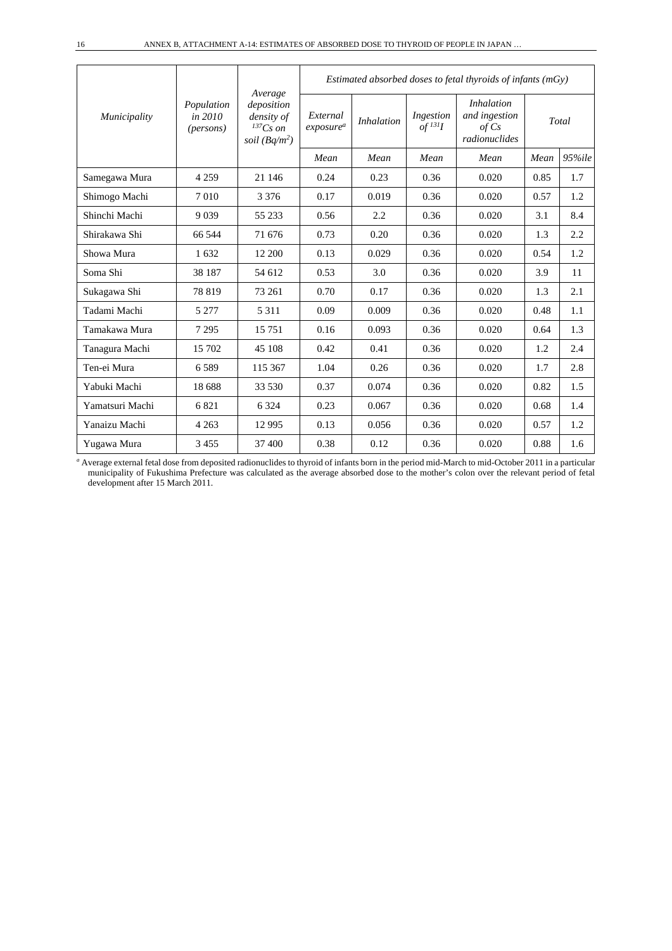| Municipality    |                                             |                                                                         | Estimated absorbed doses to fetal thyroids of infants $(mGy)$ |                   |                                      |                                                              |      |            |  |  |
|-----------------|---------------------------------------------|-------------------------------------------------------------------------|---------------------------------------------------------------|-------------------|--------------------------------------|--------------------------------------------------------------|------|------------|--|--|
|                 | Population<br>in 2010<br>( <i>persons</i> ) | Average<br>deposition<br>density of<br>$^{137}Cs$ on<br>soil $(Bq/m^2)$ | External<br>exposure <sup>a</sup>                             | <i>Inhalation</i> | Ingestion<br>$of$ <sup>131</sup> $I$ | <i>Inhalation</i><br>and ingestion<br>of Cs<br>radionuclides |      | Total      |  |  |
|                 |                                             |                                                                         | Mean                                                          | Mean              | Mean                                 | Mean                                                         | Mean | $95\%$ ile |  |  |
| Samegawa Mura   | 4 2 5 9                                     | 21 146                                                                  | 0.24                                                          | 0.23              | 0.36                                 | 0.020                                                        | 0.85 | 1.7        |  |  |
| Shimogo Machi   | 7010                                        | 3 3 7 6                                                                 | 0.17                                                          | 0.019             | 0.36                                 | 0.020                                                        | 0.57 | 1.2        |  |  |
| Shinchi Machi   | 9039                                        | 55 233                                                                  | 0.56                                                          | 2.2               | 0.36                                 | 0.020                                                        | 3.1  | 8.4        |  |  |
| Shirakawa Shi   | 66 544                                      | 71 676                                                                  | 0.73                                                          | 0.20              | 0.36                                 | 0.020                                                        | 1.3  | 2.2        |  |  |
| Showa Mura      | 1632                                        | 12 200                                                                  | 0.13                                                          | 0.029             | 0.36                                 | 0.020                                                        | 0.54 | 1.2        |  |  |
| Soma Shi        | 38 187                                      | 54 612                                                                  | 0.53                                                          | 3.0               | 0.36                                 | 0.020                                                        | 3.9  | 11         |  |  |
| Sukagawa Shi    | 78 819                                      | 73 261                                                                  | 0.70                                                          | 0.17              | 0.36                                 | 0.020                                                        | 1.3  | 2.1        |  |  |
| Tadami Machi    | 5 2 7 7                                     | 5 3 1 1                                                                 | 0.09                                                          | 0.009             | 0.36                                 | 0.020                                                        | 0.48 | 1.1        |  |  |
| Tamakawa Mura   | 7 2 9 5                                     | 15 751                                                                  | 0.16                                                          | 0.093             | 0.36                                 | 0.020                                                        | 0.64 | 1.3        |  |  |
| Tanagura Machi  | 15 702                                      | 45 108                                                                  | 0.42                                                          | 0.41              | 0.36                                 | 0.020                                                        | 1.2  | 2.4        |  |  |
| Ten-ei Mura     | 6.589                                       | 115 367                                                                 | 1.04                                                          | 0.26              | 0.36                                 | 0.020                                                        | 1.7  | 2.8        |  |  |
| Yabuki Machi    | 18 688                                      | 33 530                                                                  | 0.37                                                          | 0.074             | 0.36                                 | 0.020                                                        | 0.82 | 1.5        |  |  |
| Yamatsuri Machi | 6821                                        | 6 3 2 4                                                                 | 0.23                                                          | 0.067             | 0.36                                 | 0.020                                                        | 0.68 | 1.4        |  |  |
| Yanaizu Machi   | 4 2 6 3                                     | 12 9 95                                                                 | 0.13                                                          | 0.056             | 0.36                                 | 0.020                                                        | 0.57 | 1.2        |  |  |
| Yugawa Mura     | 3455                                        | 37 400                                                                  | 0.38                                                          | 0.12              | 0.36                                 | 0.020                                                        | 0.88 | 1.6        |  |  |

*<sup>a</sup>* Average external fetal dose from deposited radionuclides to thyroid of infants born in the period mid-March to mid-October 2011 in a particular municipality of Fukushima Prefecture was calculated as the average absorbed dose to the mother's colon over the relevant period of fetal development after 15 March 2011.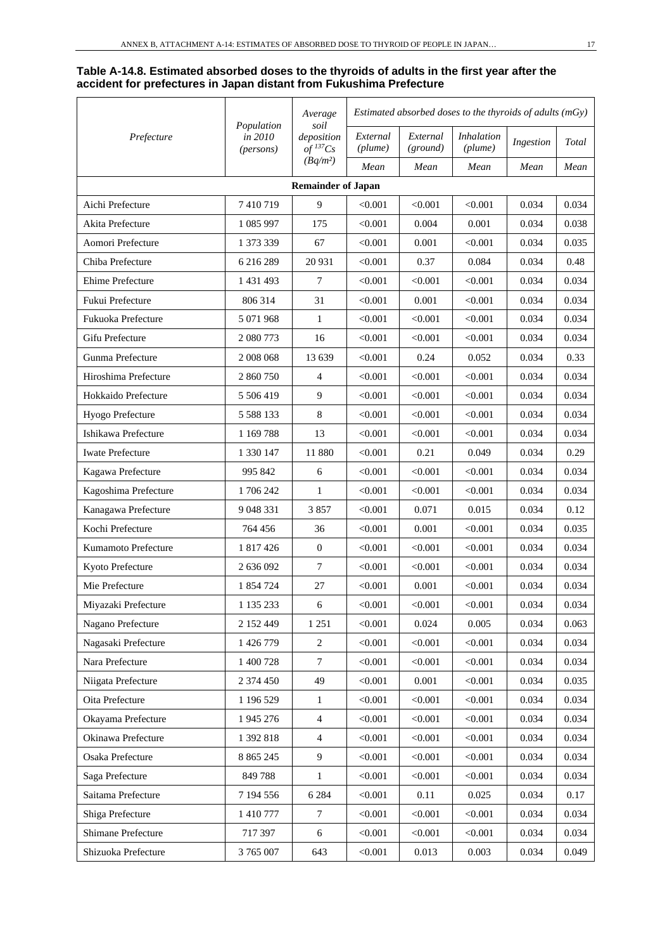#### **Table A-14.8. Estimated absorbed doses to the thyroids of adults in the first year after the accident for prefectures in Japan distant from Fukushima Prefecture**

| Prefecture                | Population<br>in 2010<br>(persons) | Average<br>soil               | Estimated absorbed doses to the thyroids of adults $(mGy)$ |                      |                              |           |       |  |  |  |  |  |
|---------------------------|------------------------------------|-------------------------------|------------------------------------------------------------|----------------------|------------------------------|-----------|-------|--|--|--|--|--|
|                           |                                    | deposition<br>of ${}^{137}Cs$ | External<br>(plume)                                        | External<br>(ground) | <b>Inhalation</b><br>(plume) | Ingestion | Total |  |  |  |  |  |
|                           |                                    | $(Bq/m^2)$                    | Mean                                                       | Mean                 | Mean                         | Mean      | Mean  |  |  |  |  |  |
| <b>Remainder of Japan</b> |                                    |                               |                                                            |                      |                              |           |       |  |  |  |  |  |
| Aichi Prefecture          | 7410719                            | 9                             | < 0.001                                                    | < 0.001              | < 0.001                      | 0.034     | 0.034 |  |  |  |  |  |
| Akita Prefecture          | 1 085 997                          | 175                           | < 0.001                                                    | 0.004                | 0.001                        | 0.034     | 0.038 |  |  |  |  |  |
| Aomori Prefecture         | 1 373 339                          | 67                            | < 0.001                                                    | 0.001                | < 0.001                      | 0.034     | 0.035 |  |  |  |  |  |
| Chiba Prefecture          | 6 216 289                          | 20 931                        | < 0.001                                                    | 0.37                 | 0.084                        | 0.034     | 0.48  |  |  |  |  |  |
| Ehime Prefecture          | 1 431 493                          | $\overline{7}$                | < 0.001                                                    | < 0.001              | < 0.001                      | 0.034     | 0.034 |  |  |  |  |  |
| Fukui Prefecture          | 806 314                            | 31                            | < 0.001                                                    | 0.001                | < 0.001                      | 0.034     | 0.034 |  |  |  |  |  |
| Fukuoka Prefecture        | 5 071 968                          | $\mathbf{1}$                  | < 0.001                                                    | < 0.001              | < 0.001                      | 0.034     | 0.034 |  |  |  |  |  |
| Gifu Prefecture           | 2 080 773                          | 16                            | < 0.001                                                    | < 0.001              | < 0.001                      | 0.034     | 0.034 |  |  |  |  |  |
| Gunma Prefecture          | 2 008 068                          | 13 639                        | < 0.001                                                    | 0.24                 | 0.052                        | 0.034     | 0.33  |  |  |  |  |  |
| Hiroshima Prefecture      | 2 860 750                          | $\overline{4}$                | < 0.001                                                    | < 0.001              | < 0.001                      | 0.034     | 0.034 |  |  |  |  |  |
| Hokkaido Prefecture       | 5 506 419                          | 9                             | < 0.001                                                    | < 0.001              | < 0.001                      | 0.034     | 0.034 |  |  |  |  |  |
| Hyogo Prefecture          | 5 5 8 1 3 3                        | $\,8\,$                       | < 0.001                                                    | < 0.001              | < 0.001                      | 0.034     | 0.034 |  |  |  |  |  |
| Ishikawa Prefecture       | 1 169 788                          | 13                            | < 0.001                                                    | < 0.001              | < 0.001                      | 0.034     | 0.034 |  |  |  |  |  |
| <b>Iwate Prefecture</b>   | 1 330 147                          | 11 880                        | < 0.001                                                    | 0.21                 | 0.049                        | 0.034     | 0.29  |  |  |  |  |  |
| Kagawa Prefecture         | 995 842                            | 6                             | < 0.001                                                    | < 0.001              | < 0.001                      | 0.034     | 0.034 |  |  |  |  |  |
| Kagoshima Prefecture      | 1706242                            | 1                             | < 0.001                                                    | < 0.001              | < 0.001                      | 0.034     | 0.034 |  |  |  |  |  |
| Kanagawa Prefecture       | 9 048 331                          | 3857                          | < 0.001                                                    | 0.071                | 0.015                        | 0.034     | 0.12  |  |  |  |  |  |
| Kochi Prefecture          | 764 456                            | 36                            | < 0.001                                                    | 0.001                | < 0.001                      | 0.034     | 0.035 |  |  |  |  |  |
| Kumamoto Prefecture       | 1 817 426                          | $\mathbf{0}$                  | < 0.001                                                    | < 0.001              | < 0.001                      | 0.034     | 0.034 |  |  |  |  |  |
| Kyoto Prefecture          | 2 636 092                          | $\tau$                        | < 0.001                                                    | < 0.001              | < 0.001                      | 0.034     | 0.034 |  |  |  |  |  |
| Mie Prefecture            | 1 854 724                          | 27                            | < 0.001                                                    | 0.001                | < 0.001                      | 0.034     | 0.034 |  |  |  |  |  |
| Miyazaki Prefecture       | 1 135 233                          | 6                             | < 0.001                                                    | < 0.001              | < 0.001                      | 0.034     | 0.034 |  |  |  |  |  |
| Nagano Prefecture         | 2 152 449                          | 1 2 5 1                       | < 0.001                                                    | 0.024                | 0.005                        | 0.034     | 0.063 |  |  |  |  |  |
| Nagasaki Prefecture       | 1 426 779                          | $\sqrt{2}$                    | < 0.001                                                    | < 0.001              | < 0.001                      | 0.034     | 0.034 |  |  |  |  |  |
| Nara Prefecture           | 1 400 728                          | $\boldsymbol{7}$              | < 0.001                                                    | < 0.001              | < 0.001                      | 0.034     | 0.034 |  |  |  |  |  |
| Niigata Prefecture        | 2 374 450                          | 49                            | < 0.001                                                    | 0.001                | < 0.001                      | 0.034     | 0.035 |  |  |  |  |  |
| Oita Prefecture           | 1 196 529                          | $\mathbf{1}$                  | < 0.001                                                    | < 0.001              | < 0.001                      | 0.034     | 0.034 |  |  |  |  |  |
| Okayama Prefecture        | 1 945 276                          | $\overline{4}$                | < 0.001                                                    | < 0.001              | < 0.001                      | 0.034     | 0.034 |  |  |  |  |  |
| Okinawa Prefecture        | 1 392 818                          | $\overline{4}$                | < 0.001                                                    | < 0.001              | < 0.001                      | 0.034     | 0.034 |  |  |  |  |  |
| Osaka Prefecture          | 8 8 6 5 2 4 5                      | $\overline{9}$                | < 0.001                                                    | < 0.001              | < 0.001                      | 0.034     | 0.034 |  |  |  |  |  |
| Saga Prefecture           | 849788                             | $\mathbf{1}$                  | < 0.001                                                    | < 0.001              | < 0.001                      | 0.034     | 0.034 |  |  |  |  |  |
| Saitama Prefecture        | 7 194 556                          | 6 2 8 4                       | < 0.001                                                    | 0.11                 | 0.025                        | 0.034     | 0.17  |  |  |  |  |  |
| Shiga Prefecture          | 1 410 777                          | $\overline{7}$                | < 0.001                                                    | < 0.001              | < 0.001                      | 0.034     | 0.034 |  |  |  |  |  |
| Shimane Prefecture        | 717 397                            | 6                             | < 0.001                                                    | < 0.001              | < 0.001                      | 0.034     | 0.034 |  |  |  |  |  |
| Shizuoka Prefecture       | 3 765 007                          | 643                           | < 0.001                                                    | 0.013                | 0.003                        | 0.034     | 0.049 |  |  |  |  |  |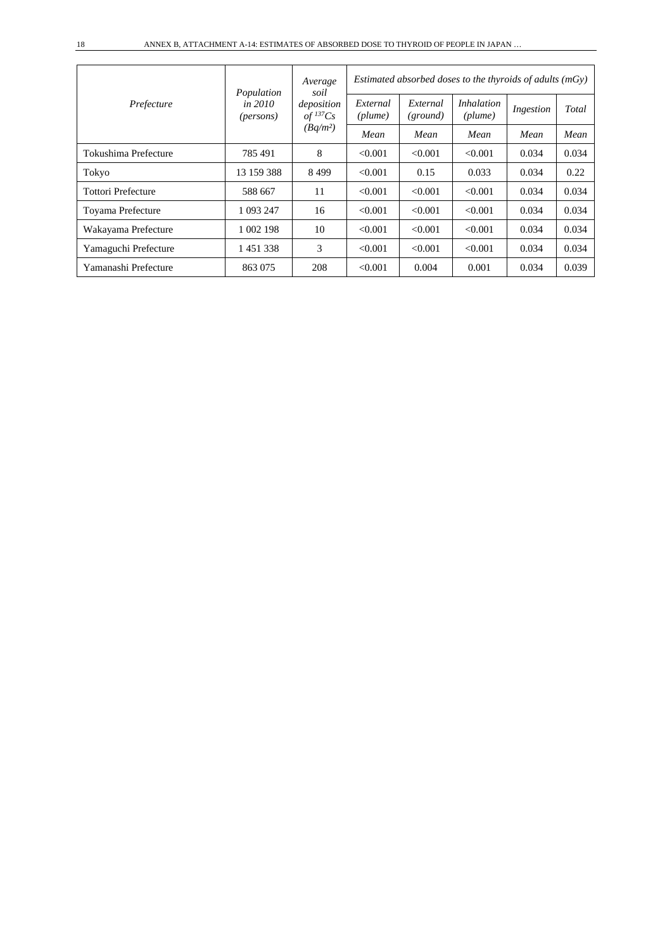| Prefecture                | Population<br>in 2010<br>( <i>persons</i> ) | Average<br>soil<br>deposition<br>$of$ <sup>137</sup> Cs<br>$(Bq/m^2)$ | Estimated absorbed doses to the thyroids of adults $(mGy)$ |                      |                              |           |       |  |
|---------------------------|---------------------------------------------|-----------------------------------------------------------------------|------------------------------------------------------------|----------------------|------------------------------|-----------|-------|--|
|                           |                                             |                                                                       | External<br>(plume)                                        | External<br>(ground) | <i>Inhalation</i><br>(plume) | Ingestion | Total |  |
|                           |                                             |                                                                       | Mean                                                       | Mean                 | Mean                         | Mean      | Mean  |  |
| Tokushima Prefecture      | 785 491                                     | 8                                                                     | < 0.001                                                    | < 0.001              | < 0.001                      | 0.034     | 0.034 |  |
| Tokyo                     | 13 159 388                                  | 8499                                                                  | < 0.001                                                    | 0.15                 | 0.033                        | 0.034     | 0.22  |  |
| <b>Tottori Prefecture</b> | 588 667                                     | 11                                                                    | < 0.001                                                    | < 0.001              | < 0.001                      | 0.034     | 0.034 |  |
| Toyama Prefecture         | 1 093 247                                   | 16                                                                    | < 0.001                                                    | < 0.001              | < 0.001                      | 0.034     | 0.034 |  |
| Wakayama Prefecture       | 1 002 198                                   | 10                                                                    | < 0.001                                                    | < 0.001              | < 0.001                      | 0.034     | 0.034 |  |
| Yamaguchi Prefecture      | 1451338                                     | 3                                                                     | < 0.001                                                    | < 0.001              | < 0.001                      | 0.034     | 0.034 |  |
| Yamanashi Prefecture      | 863 075                                     | 208                                                                   | < 0.001                                                    | 0.004                | 0.001                        | 0.034     | 0.039 |  |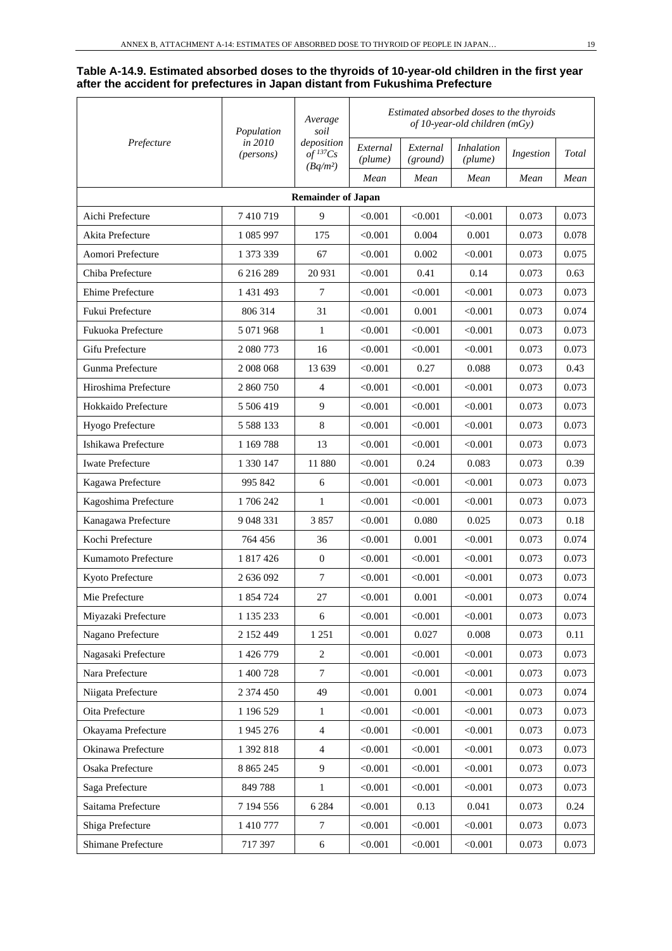#### **Table A-14.9. Estimated absorbed doses to the thyroids of 10-year-old children in the first year after the accident for prefectures in Japan distant from Fukushima Prefecture**

| Prefecture              | Population<br>in 2010<br>(persons) | Average<br>soil<br>deposition<br>$of$ <sup>137</sup> Cs | Estimated absorbed doses to the thyroids<br>of 10-year-old children $(mGy)$ |                      |                              |           |       |  |
|-------------------------|------------------------------------|---------------------------------------------------------|-----------------------------------------------------------------------------|----------------------|------------------------------|-----------|-------|--|
|                         |                                    |                                                         | External<br>(plume)                                                         | External<br>(ground) | <b>Inhalation</b><br>(plume) | Ingestion | Total |  |
|                         |                                    | $(Bq/m^2)$                                              | Mean                                                                        | Mean                 | Mean                         | Mean      | Mean  |  |
|                         |                                    | <b>Remainder of Japan</b>                               |                                                                             |                      |                              |           |       |  |
| Aichi Prefecture        | 7410719                            | 9                                                       | < 0.001                                                                     | < 0.001              | < 0.001                      | 0.073     | 0.073 |  |
| Akita Prefecture        | 1 085 997                          | 175                                                     | < 0.001                                                                     | 0.004                | 0.001                        | 0.073     | 0.078 |  |
| Aomori Prefecture       | 1 373 339                          | 67                                                      | < 0.001                                                                     | 0.002                | < 0.001                      | 0.073     | 0.075 |  |
| Chiba Prefecture        | 6 216 289                          | 20 931                                                  | < 0.001                                                                     | 0.41                 | 0.14                         | 0.073     | 0.63  |  |
| Ehime Prefecture        | 1 431 493                          | 7                                                       | < 0.001                                                                     | < 0.001              | < 0.001                      | 0.073     | 0.073 |  |
| Fukui Prefecture        | 806 314                            | 31                                                      | < 0.001                                                                     | 0.001                | < 0.001                      | 0.073     | 0.074 |  |
| Fukuoka Prefecture      | 5 071 968                          | $\mathbf{1}$                                            | < 0.001                                                                     | < 0.001              | < 0.001                      | 0.073     | 0.073 |  |
| Gifu Prefecture         | 2 080 773                          | 16                                                      | < 0.001                                                                     | < 0.001              | < 0.001                      | 0.073     | 0.073 |  |
| Gunma Prefecture        | 2 008 068                          | 13 639                                                  | < 0.001                                                                     | 0.27                 | 0.088                        | 0.073     | 0.43  |  |
| Hiroshima Prefecture    | 2 860 750                          | 4                                                       | < 0.001                                                                     | < 0.001              | < 0.001                      | 0.073     | 0.073 |  |
| Hokkaido Prefecture     | 5 506 419                          | 9                                                       | < 0.001                                                                     | < 0.001              | < 0.001                      | 0.073     | 0.073 |  |
| Hyogo Prefecture        | 5 5 8 1 3 3                        | 8                                                       | < 0.001                                                                     | < 0.001              | < 0.001                      | 0.073     | 0.073 |  |
| Ishikawa Prefecture     | 1 1 69 7 88                        | 13                                                      | < 0.001                                                                     | < 0.001              | < 0.001                      | 0.073     | 0.073 |  |
| <b>Iwate Prefecture</b> | 1 330 147                          | 11 880                                                  | < 0.001                                                                     | 0.24                 | 0.083                        | 0.073     | 0.39  |  |
| Kagawa Prefecture       | 995 842                            | 6                                                       | < 0.001                                                                     | < 0.001              | < 0.001                      | 0.073     | 0.073 |  |
| Kagoshima Prefecture    | 1706242                            | 1                                                       | < 0.001                                                                     | < 0.001              | < 0.001                      | 0.073     | 0.073 |  |
| Kanagawa Prefecture     | 9 048 331                          | 3857                                                    | < 0.001                                                                     | 0.080                | 0.025                        | 0.073     | 0.18  |  |
| Kochi Prefecture        | 764 456                            | 36                                                      | < 0.001                                                                     | 0.001                | < 0.001                      | 0.073     | 0.074 |  |
| Kumamoto Prefecture     | 1 817 426                          | $\mathbf{0}$                                            | < 0.001                                                                     | < 0.001              | < 0.001                      | 0.073     | 0.073 |  |
| Kyoto Prefecture        | 2 636 092                          | $7\phantom{.0}$                                         | < 0.001                                                                     | < 0.001              | < 0.001                      | 0.073     | 0.073 |  |
| Mie Prefecture          | 1 854 724                          | 27                                                      | < 0.001                                                                     | 0.001                | < 0.001                      | 0.073     | 0.074 |  |
| Miyazaki Prefecture     | 1 135 233                          | 6                                                       | < 0.001                                                                     | < 0.001              | < 0.001                      | 0.073     | 0.073 |  |
| Nagano Prefecture       | 2 152 449                          | 1 251                                                   | < 0.001                                                                     | 0.027                | 0.008                        | 0.073     | 0.11  |  |
| Nagasaki Prefecture     | 1 426 779                          | $\sqrt{2}$                                              | < 0.001                                                                     | < 0.001              | < 0.001                      | 0.073     | 0.073 |  |
| Nara Prefecture         | 1 400 728                          | $\tau$                                                  | < 0.001                                                                     | < 0.001              | < 0.001                      | 0.073     | 0.073 |  |
| Niigata Prefecture      | 2 374 450                          | 49                                                      | < 0.001                                                                     | 0.001                | < 0.001                      | 0.073     | 0.074 |  |
| Oita Prefecture         | 1 196 529                          | $\mathbf{1}$                                            | < 0.001                                                                     | < 0.001              | < 0.001                      | 0.073     | 0.073 |  |
| Okayama Prefecture      | 1 945 276                          | $\overline{4}$                                          | < 0.001                                                                     | < 0.001              | < 0.001                      | 0.073     | 0.073 |  |
| Okinawa Prefecture      | 1 392 818                          | $\overline{4}$                                          | < 0.001                                                                     | < 0.001              | < 0.001                      | 0.073     | 0.073 |  |
| Osaka Prefecture        | 8 8 6 5 2 4 5                      | $\overline{9}$                                          | < 0.001                                                                     | < 0.001              | < 0.001                      | 0.073     | 0.073 |  |
| Saga Prefecture         | 849788                             | $\mathbf{1}$                                            | < 0.001                                                                     | < 0.001              | < 0.001                      | 0.073     | 0.073 |  |
| Saitama Prefecture      | 7 194 556                          | 6 2 8 4                                                 | < 0.001                                                                     | 0.13                 | 0.041                        | 0.073     | 0.24  |  |
| Shiga Prefecture        | 1 410 777                          | $\tau$                                                  | < 0.001                                                                     | < 0.001              | < 0.001                      | 0.073     | 0.073 |  |
| Shimane Prefecture      | 717 397                            | 6                                                       | < 0.001                                                                     | < 0.001              | < 0.001                      | 0.073     | 0.073 |  |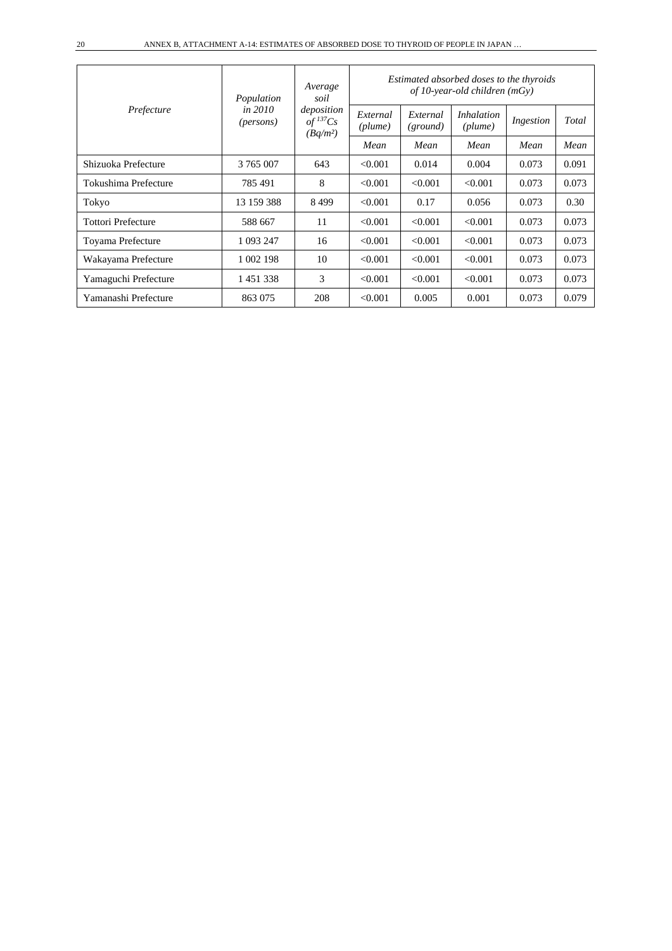| Prefecture                | Population                      | Average<br>soil                                    | Estimated absorbed doses to the thyroids<br>of 10-year-old children $(mGv)$ |                      |                              |           |       |  |  |
|---------------------------|---------------------------------|----------------------------------------------------|-----------------------------------------------------------------------------|----------------------|------------------------------|-----------|-------|--|--|
|                           | in $2010$<br>( <i>persons</i> ) | deposition<br>$of$ <sup>137</sup> Cs<br>$(Bq/m^2)$ | External<br>(plume)                                                         | External<br>(ground) | <i>Inhalation</i><br>(plume) | Ingestion | Total |  |  |
|                           |                                 |                                                    | Mean                                                                        | Mean                 | Mean                         | Mean      | Mean  |  |  |
| Shizuoka Prefecture       | 3 765 007                       | 643                                                | < 0.001                                                                     | 0.014                | 0.004                        | 0.073     | 0.091 |  |  |
| Tokushima Prefecture      | 785491                          | 8                                                  | < 0.001                                                                     | < 0.001              | < 0.001                      | 0.073     | 0.073 |  |  |
| Tokyo                     | 13 159 388                      | 8499                                               | < 0.001                                                                     | 0.17                 | 0.056                        | 0.073     | 0.30  |  |  |
| <b>Tottori Prefecture</b> | 588 667                         | 11                                                 | < 0.001                                                                     | < 0.001              | < 0.001                      | 0.073     | 0.073 |  |  |
| Toyama Prefecture         | 1 093 247                       | 16                                                 | < 0.001                                                                     | < 0.001              | < 0.001                      | 0.073     | 0.073 |  |  |
| Wakayama Prefecture       | 1 002 198                       | 10                                                 | < 0.001                                                                     | < 0.001              | < 0.001                      | 0.073     | 0.073 |  |  |
| Yamaguchi Prefecture      | 1451338                         | 3                                                  | < 0.001                                                                     | < 0.001              | < 0.001                      | 0.073     | 0.073 |  |  |
| Yamanashi Prefecture      | 863 075                         | 208                                                | < 0.001                                                                     | 0.005                | 0.001                        | 0.073     | 0.079 |  |  |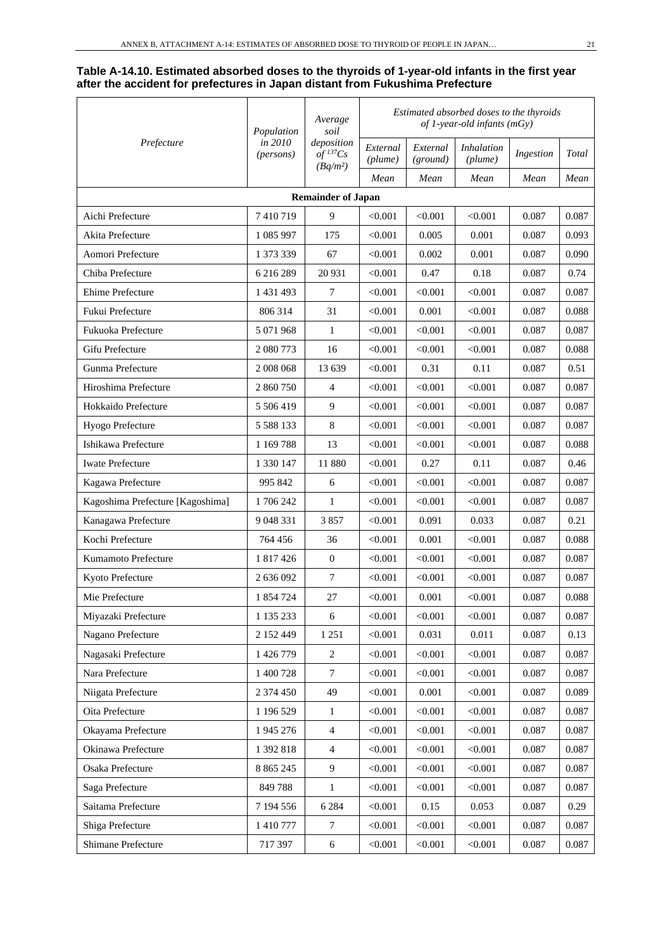#### **Table A-14.10. Estimated absorbed doses to the thyroids of 1-year-old infants in the first year after the accident for prefectures in Japan distant from Fukushima Prefecture**

| Prefecture                       | Population           | Average<br>soil                      | Estimated absorbed doses to the thyroids<br>of 1-year-old infants (mGy) |                      |                              |           |       |  |
|----------------------------------|----------------------|--------------------------------------|-------------------------------------------------------------------------|----------------------|------------------------------|-----------|-------|--|
|                                  | in 2010<br>(persons) | deposition<br>$of$ <sup>137</sup> Cs | External<br>(plume)                                                     | External<br>(ground) | <b>Inhalation</b><br>(plume) | Ingestion | Total |  |
|                                  |                      | $(Bq/m^2)$                           | Mean                                                                    | Mean                 | Mean                         | Mean      | Mean  |  |
|                                  |                      | <b>Remainder of Japan</b>            |                                                                         |                      |                              |           |       |  |
| Aichi Prefecture                 | 7410719              | 9                                    | < 0.001                                                                 | < 0.001              | < 0.001                      | 0.087     | 0.087 |  |
| Akita Prefecture                 | 1 085 997            | 175                                  | < 0.001                                                                 | 0.005                | 0.001                        | 0.087     | 0.093 |  |
| Aomori Prefecture                | 1 373 339            | 67                                   | < 0.001                                                                 | 0.002                | 0.001                        | 0.087     | 0.090 |  |
| Chiba Prefecture                 | 6 216 289            | 20 931                               | < 0.001                                                                 | 0.47                 | 0.18                         | 0.087     | 0.74  |  |
| Ehime Prefecture                 | 1 431 493            | $\tau$                               | < 0.001                                                                 | < 0.001              | < 0.001                      | 0.087     | 0.087 |  |
| Fukui Prefecture                 | 806 314              | 31                                   | < 0.001                                                                 | 0.001                | < 0.001                      | 0.087     | 0.088 |  |
| Fukuoka Prefecture               | 5 071 968            | $\mathbf{1}$                         | < 0.001                                                                 | < 0.001              | < 0.001                      | 0.087     | 0.087 |  |
| Gifu Prefecture                  | 2 080 773            | 16                                   | < 0.001                                                                 | < 0.001              | < 0.001                      | 0.087     | 0.088 |  |
| Gunma Prefecture                 | 2 008 068            | 13 639                               | < 0.001                                                                 | 0.31                 | 0.11                         | 0.087     | 0.51  |  |
| Hiroshima Prefecture             | 2 860 750            | 4                                    | < 0.001                                                                 | < 0.001              | < 0.001                      | 0.087     | 0.087 |  |
| Hokkaido Prefecture              | 5 506 419            | 9                                    | < 0.001                                                                 | < 0.001              | $<$ 0.001 $\,$               | 0.087     | 0.087 |  |
| Hyogo Prefecture                 | 5 5 8 8 1 3 3        | $8\,$                                | < 0.001                                                                 | < 0.001              | < 0.001                      | 0.087     | 0.087 |  |
| Ishikawa Prefecture              | 1 169 788            | 13                                   | < 0.001                                                                 | < 0.001              | $<\!\!0.001$                 | 0.087     | 0.088 |  |
| <b>Iwate Prefecture</b>          | 1 330 147            | 11 880                               | < 0.001                                                                 | 0.27                 | 0.11                         | 0.087     | 0.46  |  |
| Kagawa Prefecture                | 995 842              | 6                                    | < 0.001                                                                 | < 0.001              | < 0.001                      | 0.087     | 0.087 |  |
| Kagoshima Prefecture [Kagoshima] | 1706242              | 1                                    | < 0.001                                                                 | < 0.001              | $<$ 0.001 $\,$               | 0.087     | 0.087 |  |
| Kanagawa Prefecture              | 9 048 331            | 3857                                 | < 0.001                                                                 | 0.091                | 0.033                        | 0.087     | 0.21  |  |
| Kochi Prefecture                 | 764 456              | 36                                   | < 0.001                                                                 | 0.001                | $<$ 0.001 $\,$               | 0.087     | 0.088 |  |
| Kumamoto Prefecture              | 1 817 426            | $\mathbf{0}$                         | < 0.001                                                                 | < 0.001              | < 0.001                      | 0.087     | 0.087 |  |
| Kyoto Prefecture                 | 2 636 092            | $\tau$                               | < 0.001                                                                 | < 0.001              | < 0.001                      | 0.087     | 0.087 |  |
| Mie Prefecture                   | 1 854 724            | 27                                   | < 0.001                                                                 | 0.001                | < 0.001                      | 0.087     | 0.088 |  |
| Miyazaki Prefecture              | 1 135 233            | 6                                    | < 0.001                                                                 | < 0.001              | < 0.001                      | 0.087     | 0.087 |  |
| Nagano Prefecture                | 2 152 449            | 1 2 5 1                              | < 0.001                                                                 | 0.031                | 0.011                        | 0.087     | 0.13  |  |
| Nagasaki Prefecture              | 1 426 779            | $\overline{c}$                       | < 0.001                                                                 | < 0.001              | < 0.001                      | 0.087     | 0.087 |  |
| Nara Prefecture                  | 1 400 728            | $\tau$                               | < 0.001                                                                 | < 0.001              | < 0.001                      | 0.087     | 0.087 |  |
| Niigata Prefecture               | 2 374 450            | 49                                   | < 0.001                                                                 | 0.001                | < 0.001                      | 0.087     | 0.089 |  |
| Oita Prefecture                  | 1 196 529            | 1                                    | < 0.001                                                                 | < 0.001              | < 0.001                      | 0.087     | 0.087 |  |
| Okayama Prefecture               | 1 945 276            | $\overline{4}$                       | < 0.001                                                                 | < 0.001              | < 0.001                      | 0.087     | 0.087 |  |
| Okinawa Prefecture               | 1 392 818            | $\overline{4}$                       | < 0.001                                                                 | < 0.001              | < 0.001                      | 0.087     | 0.087 |  |
| Osaka Prefecture                 | 8 8 6 5 2 4 5        | 9                                    | < 0.001                                                                 | < 0.001              | < 0.001                      | 0.087     | 0.087 |  |
| Saga Prefecture                  | 849 788              | $\mathbf{1}$                         | < 0.001                                                                 | < 0.001              | < 0.001                      | 0.087     | 0.087 |  |
| Saitama Prefecture               | 7 194 556            | 6 2 8 4                              | < 0.001                                                                 | 0.15                 | 0.053                        | 0.087     | 0.29  |  |
| Shiga Prefecture                 | 1 410 777            | $\tau$                               | < 0.001                                                                 | < 0.001              | < 0.001                      | 0.087     | 0.087 |  |
| Shimane Prefecture               | 717 397              | $\sqrt{6}$                           | < 0.001                                                                 | < 0.001              | < 0.001                      | 0.087     | 0.087 |  |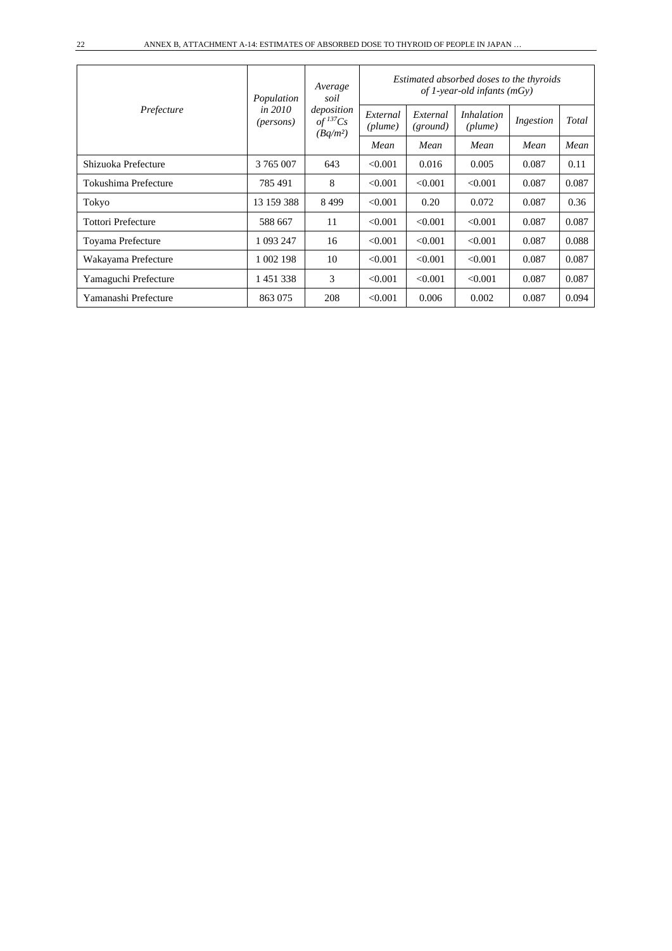| Prefecture                | Population             | Average<br>soil<br>deposition<br>$of$ <sup>137</sup> Cs<br>$(Bq/m^2)$ | Estimated absorbed doses to the thyroids<br>of 1-year-old infants (mGy) |                      |                              |           |       |  |  |
|---------------------------|------------------------|-----------------------------------------------------------------------|-------------------------------------------------------------------------|----------------------|------------------------------|-----------|-------|--|--|
|                           | in $2010$<br>(persons) |                                                                       | External<br>(plume)                                                     | External<br>(ground) | <i>Inhalation</i><br>(plume) | Ingestion | Total |  |  |
|                           |                        |                                                                       | Mean                                                                    | Mean                 | Mean                         | Mean      | Mean  |  |  |
| Shizuoka Prefecture       | 3 765 007              | 643                                                                   | < 0.001                                                                 | 0.016                | 0.005                        | 0.087     | 0.11  |  |  |
| Tokushima Prefecture      | 785491                 | 8                                                                     | < 0.001                                                                 | < 0.001              | < 0.001                      | 0.087     | 0.087 |  |  |
| Tokyo                     | 13 159 388             | 8499                                                                  | < 0.001                                                                 | 0.20                 | 0.072                        | 0.087     | 0.36  |  |  |
| <b>Tottori Prefecture</b> | 588 667                | 11                                                                    | < 0.001                                                                 | < 0.001              | < 0.001                      | 0.087     | 0.087 |  |  |
| Toyama Prefecture         | 1 093 247              | 16                                                                    | < 0.001                                                                 | < 0.001              | < 0.001                      | 0.087     | 0.088 |  |  |
| Wakayama Prefecture       | 1 002 198              | 10                                                                    | < 0.001                                                                 | < 0.001              | < 0.001                      | 0.087     | 0.087 |  |  |
| Yamaguchi Prefecture      | 1451338                | 3                                                                     | < 0.001                                                                 | < 0.001              | < 0.001                      | 0.087     | 0.087 |  |  |
| Yamanashi Prefecture      | 863 075                | 208                                                                   | < 0.001                                                                 | 0.006                | 0.002                        | 0.087     | 0.094 |  |  |